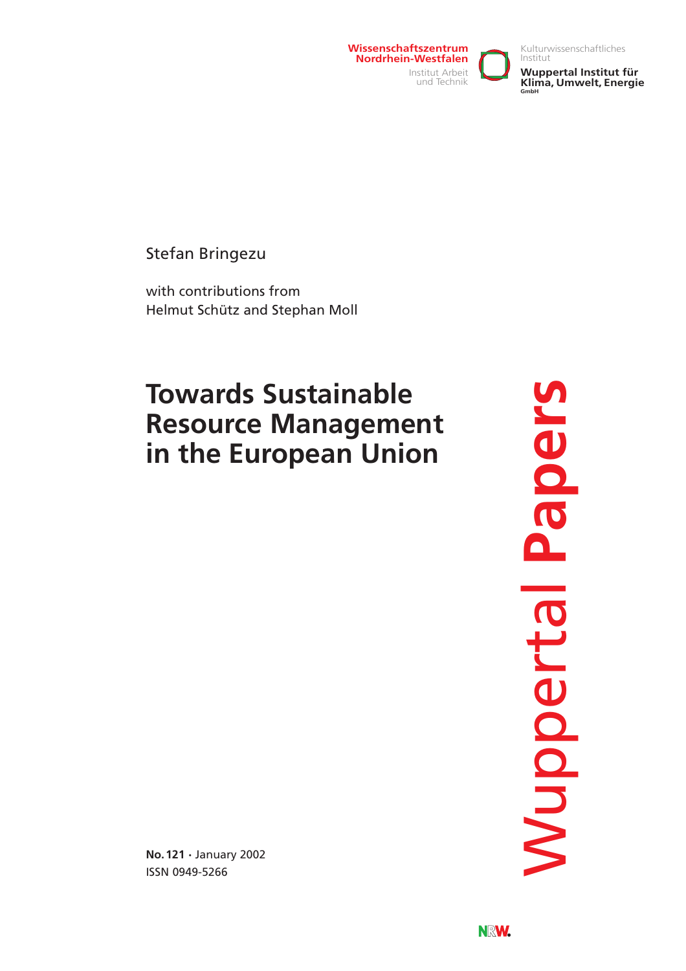

Stefan Bringezu

with contributions from Helmut Schütz and Stephan Moll

# **Towards Sustainable Resource Management in the European Union**

Wuppertal **Papers Wuppertal Papers** 

**No. 121 ·** January 2002 ISSN 0949-5266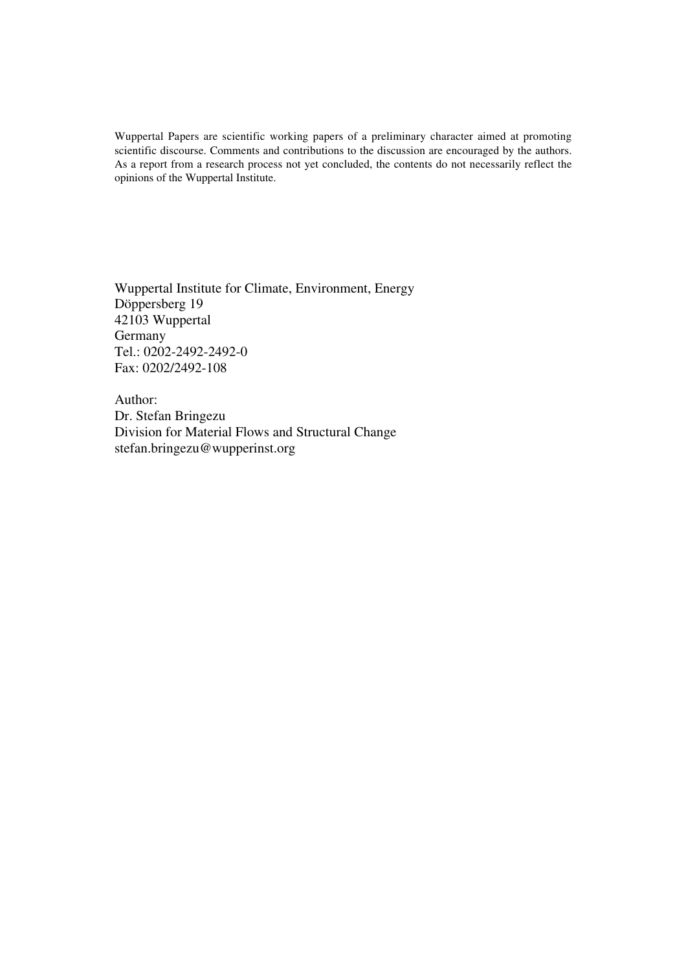Wuppertal Papers are scientific working papers of a preliminary character aimed at promoting scientific discourse. Comments and contributions to the discussion are encouraged by the authors. As a report from a research process not yet concluded, the contents do not necessarily reflect the opinions of the Wuppertal Institute.

Wuppertal Institute for Climate, Environment, Energy Döppersberg 19 42103 Wuppertal Germany Tel.: 0202-2492-2492-0 Fax: 0202/2492-108

Author: Dr. Stefan Bringezu Division for Material Flows and Structural Change stefan.bringezu@wupperinst.org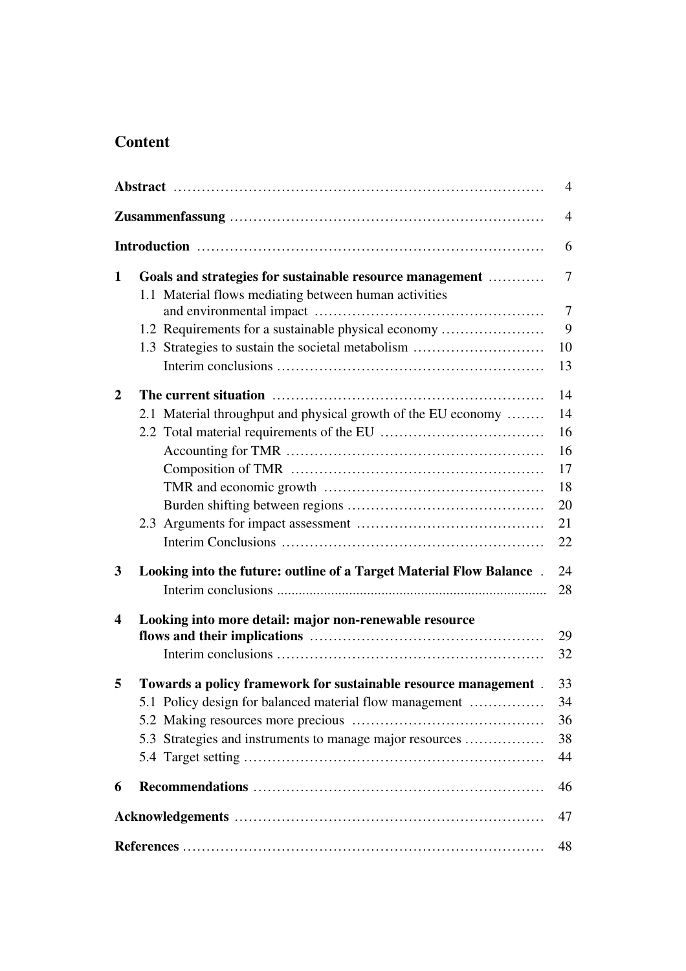# **Content**

|              |                                                                     | $\overline{4}$ |
|--------------|---------------------------------------------------------------------|----------------|
|              |                                                                     | $\overline{4}$ |
|              |                                                                     | 6              |
| 1            | Goals and strategies for sustainable resource management            | 7              |
|              | 1.1 Material flows mediating between human activities               | $\overline{7}$ |
|              | 1.2 Requirements for a sustainable physical economy                 | 9              |
|              | 1.3 Strategies to sustain the societal metabolism                   | 10             |
|              |                                                                     | 13             |
| $\mathbf{2}$ |                                                                     | 14             |
|              | 2.1 Material throughput and physical growth of the EU economy       | 14             |
|              |                                                                     | 16             |
|              |                                                                     | 16             |
|              |                                                                     | 17             |
|              |                                                                     | 18             |
|              |                                                                     | 20             |
|              |                                                                     | 21             |
|              |                                                                     | 22             |
| 3            | Looking into the future: outline of a Target Material Flow Balance. | 24             |
|              |                                                                     | 28             |
| 4            | Looking into more detail: major non-renewable resource              |                |
|              |                                                                     | 29             |
|              |                                                                     | 32             |
| 5            | Towards a policy framework for sustainable resource management.     | 33             |
|              | 5.1 Policy design for balanced material flow management             | 34             |
|              |                                                                     | 36             |
|              | 5.3 Strategies and instruments to manage major resources            | 38             |
|              |                                                                     | 44             |
| 6            |                                                                     | 46             |
|              |                                                                     | 47             |
|              |                                                                     | 48             |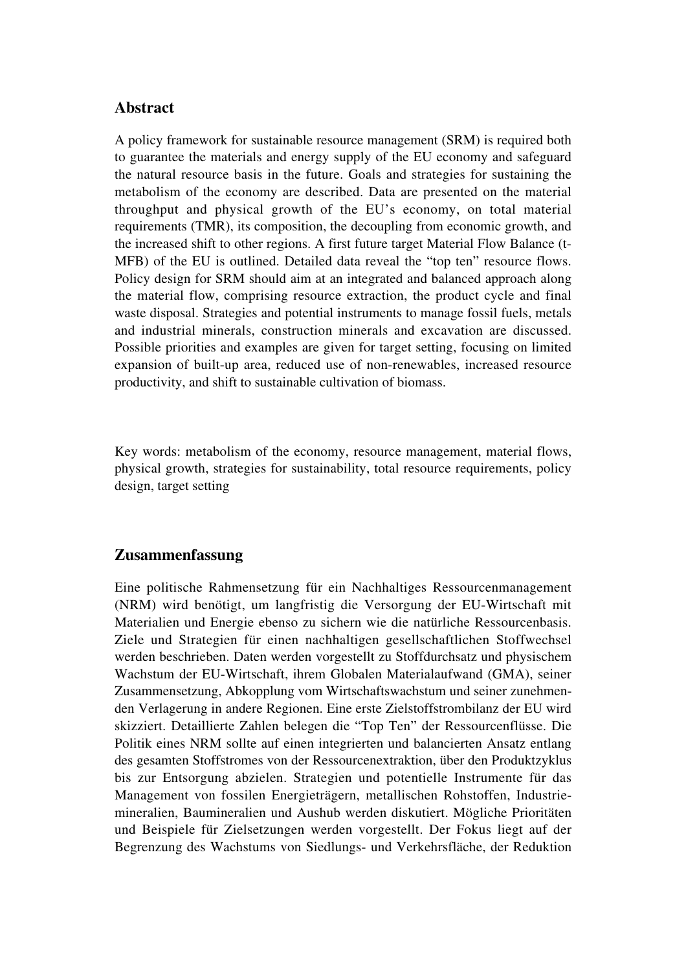### **Abstract**

A policy framework for sustainable resource management (SRM) is required both to guarantee the materials and energy supply of the EU economy and safeguard the natural resource basis in the future. Goals and strategies for sustaining the metabolism of the economy are described. Data are presented on the material throughput and physical growth of the EU's economy, on total material requirements (TMR), its composition, the decoupling from economic growth, and the increased shift to other regions. A first future target Material Flow Balance (t-MFB) of the EU is outlined. Detailed data reveal the "top ten" resource flows. Policy design for SRM should aim at an integrated and balanced approach along the material flow, comprising resource extraction, the product cycle and final waste disposal. Strategies and potential instruments to manage fossil fuels, metals and industrial minerals, construction minerals and excavation are discussed. Possible priorities and examples are given for target setting, focusing on limited expansion of built-up area, reduced use of non-renewables, increased resource productivity, and shift to sustainable cultivation of biomass.

Key words: metabolism of the economy, resource management, material flows, physical growth, strategies for sustainability, total resource requirements, policy design, target setting

### **Zusammenfassung**

Eine politische Rahmensetzung für ein Nachhaltiges Ressourcenmanagement (NRM) wird benötigt, um langfristig die Versorgung der EU-Wirtschaft mit Materialien und Energie ebenso zu sichern wie die natürliche Ressourcenbasis. Ziele und Strategien für einen nachhaltigen gesellschaftlichen Stoffwechsel werden beschrieben. Daten werden vorgestellt zu Stoffdurchsatz und physischem Wachstum der EU-Wirtschaft, ihrem Globalen Materialaufwand (GMA), seiner Zusammensetzung, Abkopplung vom Wirtschaftswachstum und seiner zunehmenden Verlagerung in andere Regionen. Eine erste Zielstoffstrombilanz der EU wird skizziert. Detaillierte Zahlen belegen die "Top Ten" der Ressourcenflüsse. Die Politik eines NRM sollte auf einen integrierten und balancierten Ansatz entlang des gesamten Stoffstromes von der Ressourcenextraktion, über den Produktzyklus bis zur Entsorgung abzielen. Strategien und potentielle Instrumente für das Management von fossilen Energieträgern, metallischen Rohstoffen, Industriemineralien, Baumineralien und Aushub werden diskutiert. Mögliche Prioritäten und Beispiele für Zielsetzungen werden vorgestellt. Der Fokus liegt auf der Begrenzung des Wachstums von Siedlungs- und Verkehrsfläche, der Reduktion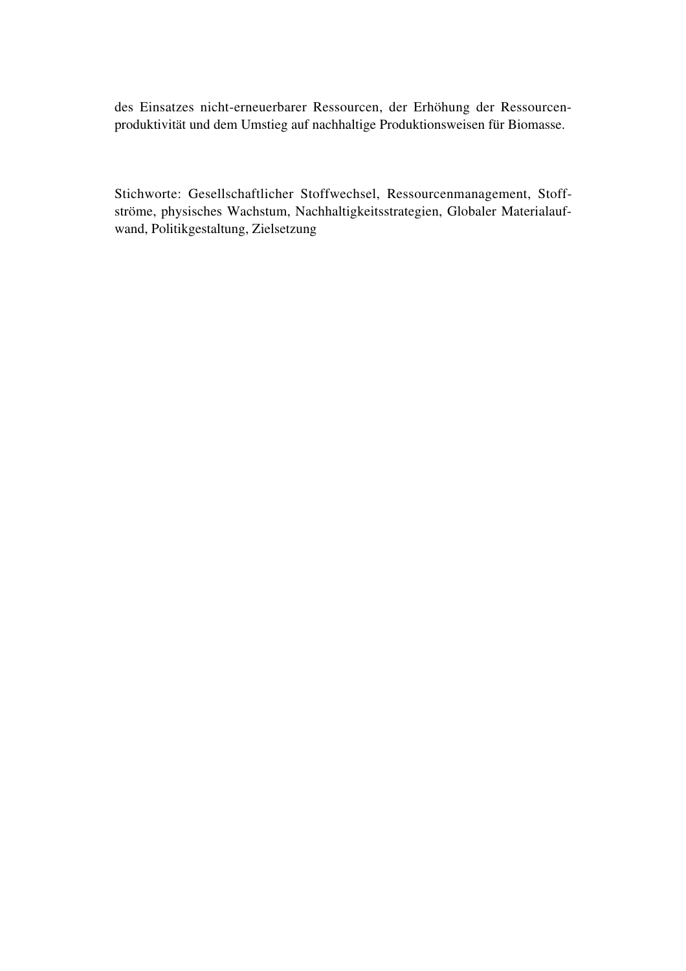des Einsatzes nicht-erneuerbarer Ressourcen, der Erhöhung der Ressourcenproduktivität und dem Umstieg auf nachhaltige Produktionsweisen für Biomasse.

Stichworte: Gesellschaftlicher Stoffwechsel, Ressourcenmanagement, Stoffströme, physisches Wachstum, Nachhaltigkeitsstrategien, Globaler Materialaufwand, Politikgestaltung, Zielsetzung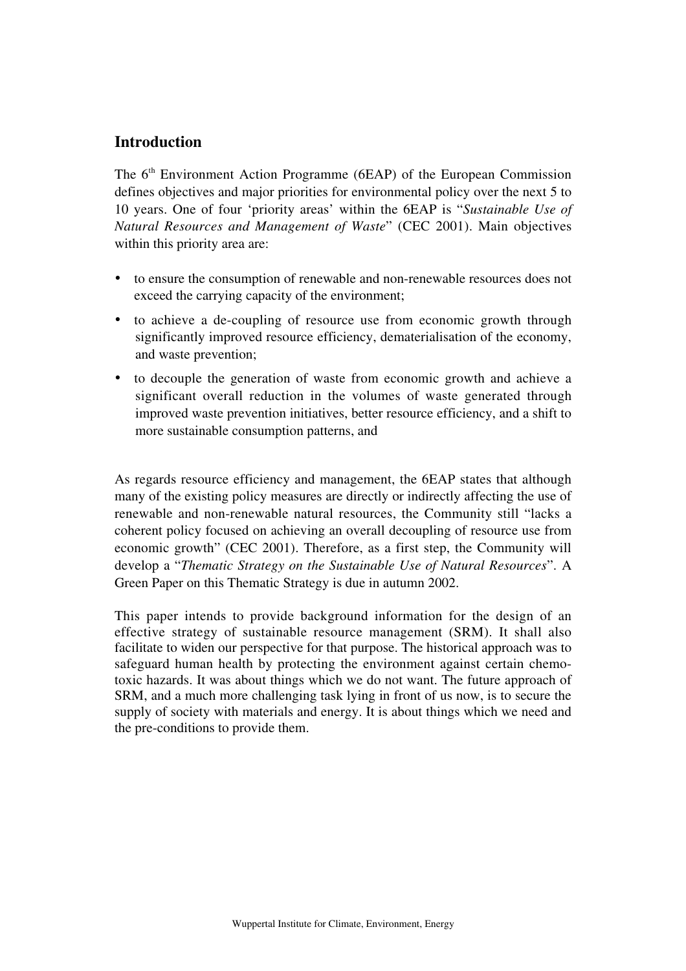# **Introduction**

The 6<sup>th</sup> Environment Action Programme (6EAP) of the European Commission defines objectives and major priorities for environmental policy over the next 5 to 10 years. One of four 'priority areas' within the 6EAP is "*Sustainable Use of Natural Resources and Management of Waste*" (CEC 2001). Main objectives within this priority area are:

- to ensure the consumption of renewable and non-renewable resources does not exceed the carrying capacity of the environment;
- to achieve a de-coupling of resource use from economic growth through significantly improved resource efficiency, dematerialisation of the economy, and waste prevention;
- to decouple the generation of waste from economic growth and achieve a significant overall reduction in the volumes of waste generated through improved waste prevention initiatives, better resource efficiency, and a shift to more sustainable consumption patterns, and

As regards resource efficiency and management, the 6EAP states that although many of the existing policy measures are directly or indirectly affecting the use of renewable and non-renewable natural resources, the Community still "lacks a coherent policy focused on achieving an overall decoupling of resource use from economic growth" (CEC 2001). Therefore, as a first step, the Community will develop a "*Thematic Strategy on the Sustainable Use of Natural Resources*". A Green Paper on this Thematic Strategy is due in autumn 2002.

This paper intends to provide background information for the design of an effective strategy of sustainable resource management (SRM). It shall also facilitate to widen our perspective for that purpose. The historical approach was to safeguard human health by protecting the environment against certain chemotoxic hazards. It was about things which we do not want. The future approach of SRM, and a much more challenging task lying in front of us now, is to secure the supply of society with materials and energy. It is about things which we need and the pre-conditions to provide them.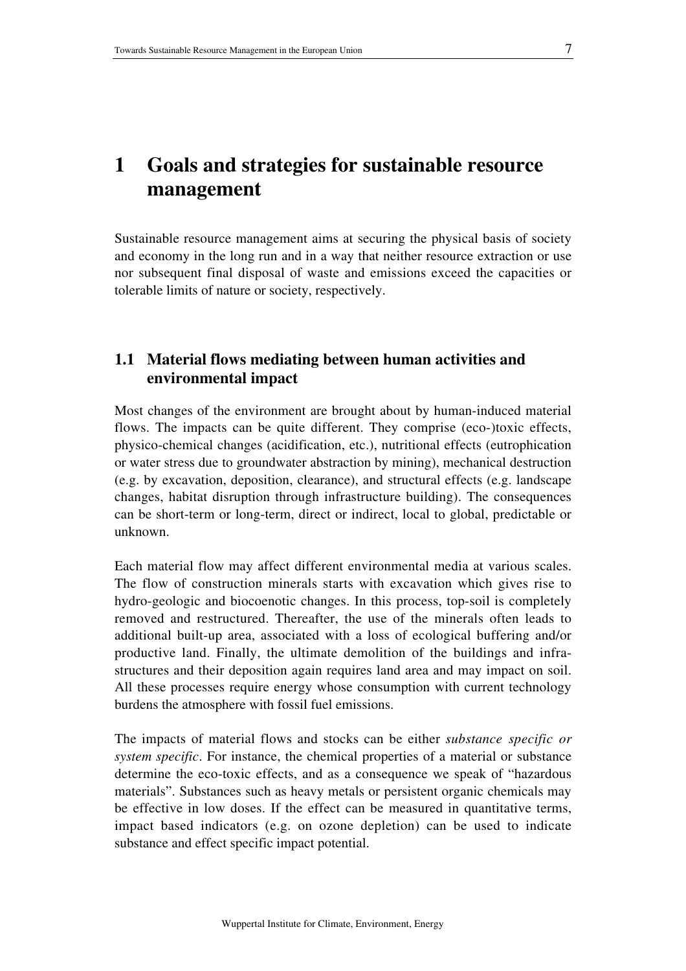# **1 Goals and strategies for sustainable resource management**

Sustainable resource management aims at securing the physical basis of society and economy in the long run and in a way that neither resource extraction or use nor subsequent final disposal of waste and emissions exceed the capacities or tolerable limits of nature or society, respectively.

# **1.1 Material flows mediating between human activities and environmental impact**

Most changes of the environment are brought about by human-induced material flows. The impacts can be quite different. They comprise (eco-)toxic effects, physico-chemical changes (acidification, etc.), nutritional effects (eutrophication or water stress due to groundwater abstraction by mining), mechanical destruction (e.g. by excavation, deposition, clearance), and structural effects (e.g. landscape changes, habitat disruption through infrastructure building). The consequences can be short-term or long-term, direct or indirect, local to global, predictable or unknown.

Each material flow may affect different environmental media at various scales. The flow of construction minerals starts with excavation which gives rise to hydro-geologic and biocoenotic changes. In this process, top-soil is completely removed and restructured. Thereafter, the use of the minerals often leads to additional built-up area, associated with a loss of ecological buffering and/or productive land. Finally, the ultimate demolition of the buildings and infrastructures and their deposition again requires land area and may impact on soil. All these processes require energy whose consumption with current technology burdens the atmosphere with fossil fuel emissions.

The impacts of material flows and stocks can be either *substance specific or system specific*. For instance, the chemical properties of a material or substance determine the eco-toxic effects, and as a consequence we speak of "hazardous materials". Substances such as heavy metals or persistent organic chemicals may be effective in low doses. If the effect can be measured in quantitative terms, impact based indicators (e.g. on ozone depletion) can be used to indicate substance and effect specific impact potential.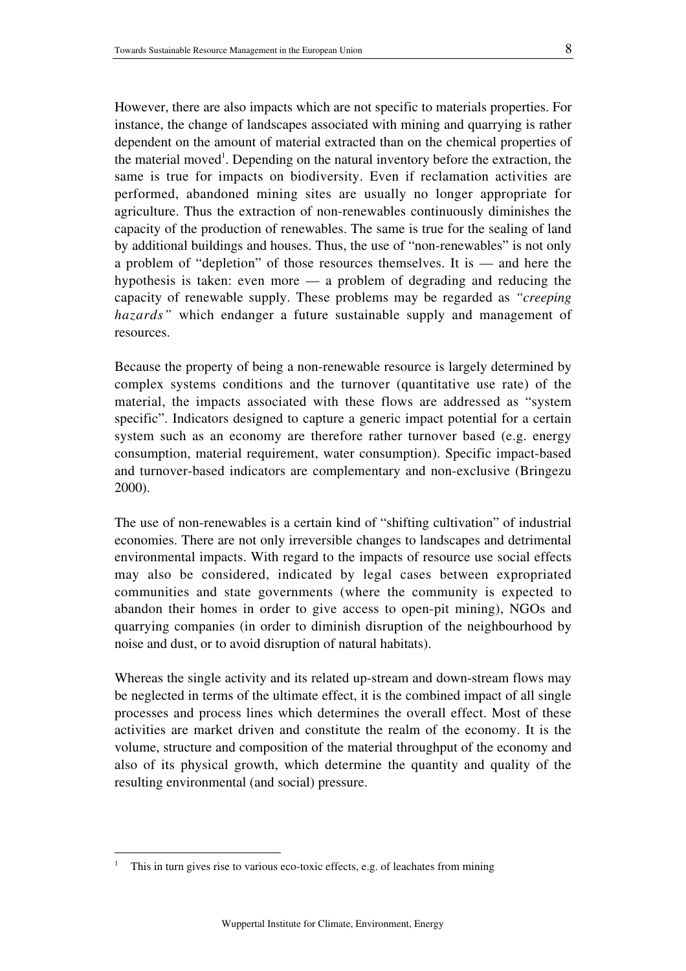However, there are also impacts which are not specific to materials properties. For instance, the change of landscapes associated with mining and quarrying is rather dependent on the amount of material extracted than on the chemical properties of the material moved<sup>1</sup>. Depending on the natural inventory before the extraction, the same is true for impacts on biodiversity. Even if reclamation activities are performed, abandoned mining sites are usually no longer appropriate for agriculture. Thus the extraction of non-renewables continuously diminishes the capacity of the production of renewables. The same is true for the sealing of land by additional buildings and houses. Thus, the use of "non-renewables" is not only a problem of "depletion" of those resources themselves. It is — and here the hypothesis is taken: even more — a problem of degrading and reducing the capacity of renewable supply. These problems may be regarded as *"creeping hazards"* which endanger a future sustainable supply and management of resources.

Because the property of being a non-renewable resource is largely determined by complex systems conditions and the turnover (quantitative use rate) of the material, the impacts associated with these flows are addressed as "system specific". Indicators designed to capture a generic impact potential for a certain system such as an economy are therefore rather turnover based (e.g. energy consumption, material requirement, water consumption). Specific impact-based and turnover-based indicators are complementary and non-exclusive (Bringezu 2000).

The use of non-renewables is a certain kind of "shifting cultivation" of industrial economies. There are not only irreversible changes to landscapes and detrimental environmental impacts. With regard to the impacts of resource use social effects may also be considered, indicated by legal cases between expropriated communities and state governments (where the community is expected to abandon their homes in order to give access to open-pit mining), NGOs and quarrying companies (in order to diminish disruption of the neighbourhood by noise and dust, or to avoid disruption of natural habitats).

Whereas the single activity and its related up-stream and down-stream flows may be neglected in terms of the ultimate effect, it is the combined impact of all single processes and process lines which determines the overall effect. Most of these activities are market driven and constitute the realm of the economy. It is the volume, structure and composition of the material throughput of the economy and also of its physical growth, which determine the quantity and quality of the resulting environmental (and social) pressure.

 $\frac{1}{1}$ This in turn gives rise to various eco-toxic effects, e.g. of leachates from mining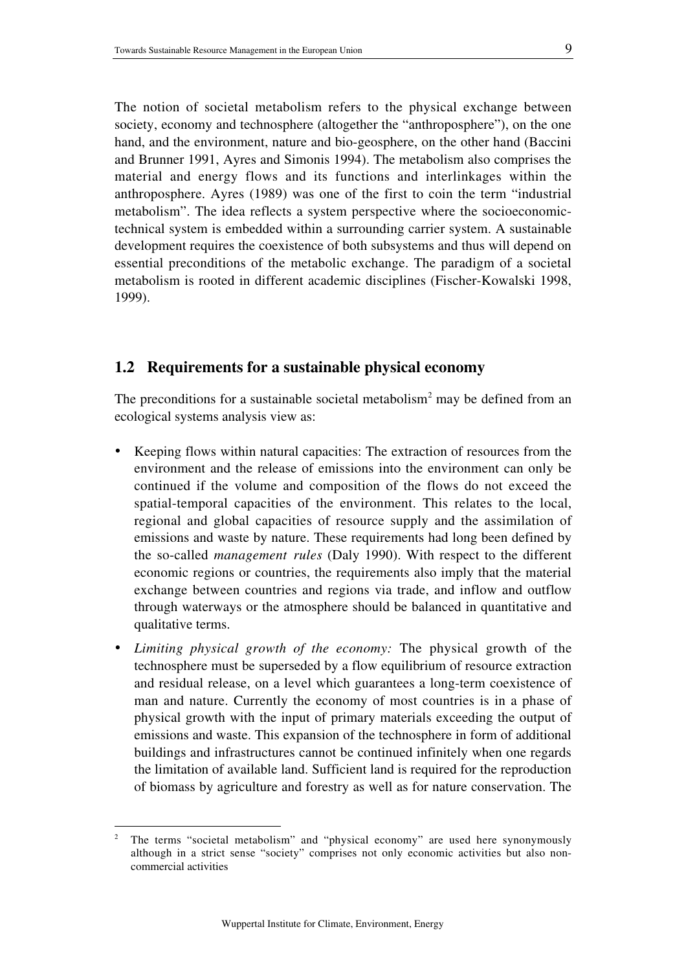The notion of societal metabolism refers to the physical exchange between society, economy and technosphere (altogether the "anthroposphere"), on the one hand, and the environment, nature and bio-geosphere, on the other hand (Baccini and Brunner 1991, Ayres and Simonis 1994). The metabolism also comprises the material and energy flows and its functions and interlinkages within the anthroposphere. Ayres (1989) was one of the first to coin the term "industrial metabolism". The idea reflects a system perspective where the socioeconomictechnical system is embedded within a surrounding carrier system. A sustainable development requires the coexistence of both subsystems and thus will depend on essential preconditions of the metabolic exchange. The paradigm of a societal metabolism is rooted in different academic disciplines (Fischer-Kowalski 1998, 1999).

# **1.2 Requirements for a sustainable physical economy**

The preconditions for a sustainable societal metabolism<sup>2</sup> may be defined from an ecological systems analysis view as:

- Keeping flows within natural capacities: The extraction of resources from the environment and the release of emissions into the environment can only be continued if the volume and composition of the flows do not exceed the spatial-temporal capacities of the environment. This relates to the local, regional and global capacities of resource supply and the assimilation of emissions and waste by nature. These requirements had long been defined by the so-called *management rules* (Daly 1990). With respect to the different economic regions or countries, the requirements also imply that the material exchange between countries and regions via trade, and inflow and outflow through waterways or the atmosphere should be balanced in quantitative and qualitative terms.
- *Limiting physical growth of the economy:* The physical growth of the technosphere must be superseded by a flow equilibrium of resource extraction and residual release, on a level which guarantees a long-term coexistence of man and nature. Currently the economy of most countries is in a phase of physical growth with the input of primary materials exceeding the output of emissions and waste. This expansion of the technosphere in form of additional buildings and infrastructures cannot be continued infinitely when one regards the limitation of available land. Sufficient land is required for the reproduction of biomass by agriculture and forestry as well as for nature conservation. The

 $\frac{1}{2}$  The terms "societal metabolism" and "physical economy" are used here synonymously although in a strict sense "society" comprises not only economic activities but also noncommercial activities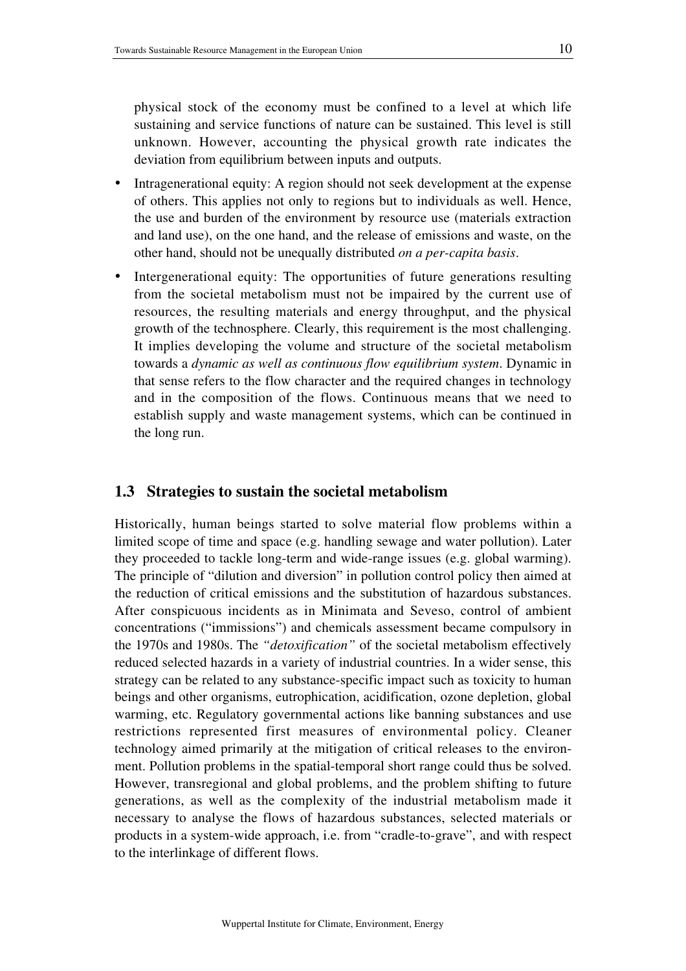physical stock of the economy must be confined to a level at which life sustaining and service functions of nature can be sustained. This level is still unknown. However, accounting the physical growth rate indicates the deviation from equilibrium between inputs and outputs.

- Intragenerational equity: A region should not seek development at the expense of others. This applies not only to regions but to individuals as well. Hence, the use and burden of the environment by resource use (materials extraction and land use), on the one hand, and the release of emissions and waste, on the other hand, should not be unequally distributed *on a per-capita basis*.
- Intergenerational equity: The opportunities of future generations resulting from the societal metabolism must not be impaired by the current use of resources, the resulting materials and energy throughput, and the physical growth of the technosphere. Clearly, this requirement is the most challenging. It implies developing the volume and structure of the societal metabolism towards a *dynamic as well as continuous flow equilibrium system*. Dynamic in that sense refers to the flow character and the required changes in technology and in the composition of the flows. Continuous means that we need to establish supply and waste management systems, which can be continued in the long run.

# **1.3 Strategies to sustain the societal metabolism**

Historically, human beings started to solve material flow problems within a limited scope of time and space (e.g. handling sewage and water pollution). Later they proceeded to tackle long-term and wide-range issues (e.g. global warming). The principle of "dilution and diversion" in pollution control policy then aimed at the reduction of critical emissions and the substitution of hazardous substances. After conspicuous incidents as in Minimata and Seveso, control of ambient concentrations ("immissions") and chemicals assessment became compulsory in the 1970s and 1980s. The *"detoxification"* of the societal metabolism effectively reduced selected hazards in a variety of industrial countries. In a wider sense, this strategy can be related to any substance-specific impact such as toxicity to human beings and other organisms, eutrophication, acidification, ozone depletion, global warming, etc. Regulatory governmental actions like banning substances and use restrictions represented first measures of environmental policy. Cleaner technology aimed primarily at the mitigation of critical releases to the environment. Pollution problems in the spatial-temporal short range could thus be solved. However, transregional and global problems, and the problem shifting to future generations, as well as the complexity of the industrial metabolism made it necessary to analyse the flows of hazardous substances, selected materials or products in a system-wide approach, i.e. from "cradle-to-grave", and with respect to the interlinkage of different flows.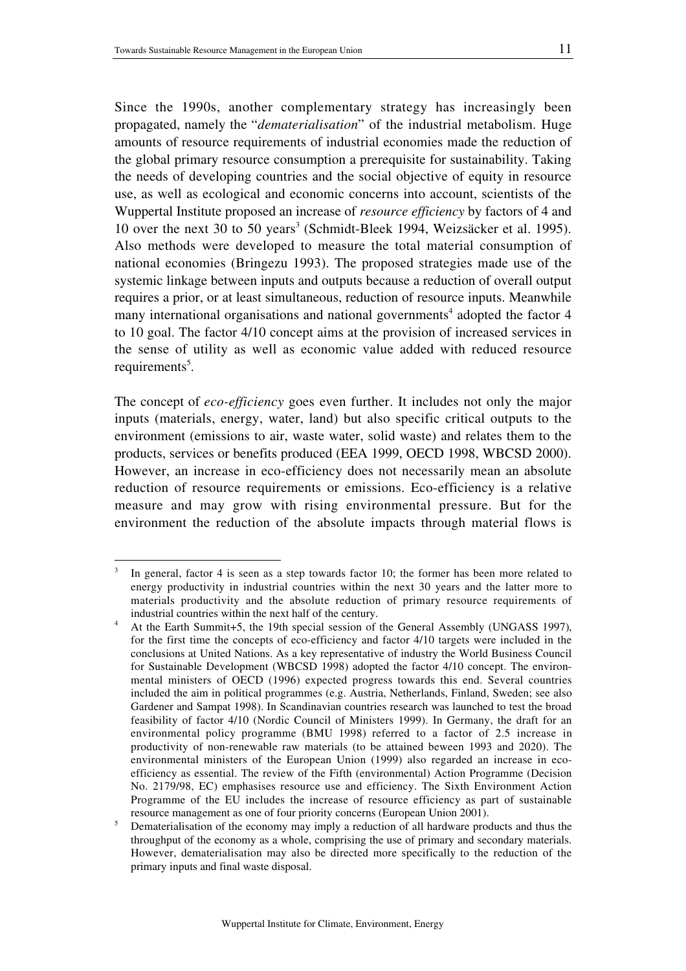Since the 1990s, another complementary strategy has increasingly been propagated, namely the "*dematerialisation*" of the industrial metabolism. Huge amounts of resource requirements of industrial economies made the reduction of the global primary resource consumption a prerequisite for sustainability. Taking the needs of developing countries and the social objective of equity in resource use, as well as ecological and economic concerns into account, scientists of the Wuppertal Institute proposed an increase of *resource efficiency* by factors of 4 and 10 over the next 30 to 50 years<sup>3</sup> (Schmidt-Bleek 1994, Weizsäcker et al. 1995). Also methods were developed to measure the total material consumption of national economies (Bringezu 1993). The proposed strategies made use of the systemic linkage between inputs and outputs because a reduction of overall output requires a prior, or at least simultaneous, reduction of resource inputs. Meanwhile many international organisations and national governments<sup>4</sup> adopted the factor 4 to 10 goal. The factor 4/10 concept aims at the provision of increased services in the sense of utility as well as economic value added with reduced resource requirements<sup>5</sup>.

The concept of *eco-efficiency* goes even further. It includes not only the major inputs (materials, energy, water, land) but also specific critical outputs to the environment (emissions to air, waste water, solid waste) and relates them to the products, services or benefits produced (EEA 1999, OECD 1998, WBCSD 2000). However, an increase in eco-efficiency does not necessarily mean an absolute reduction of resource requirements or emissions. Eco-efficiency is a relative measure and may grow with rising environmental pressure. But for the environment the reduction of the absolute impacts through material flows is

 $3$  In general, factor 4 is seen as a step towards factor 10; the former has been more related to energy productivity in industrial countries within the next 30 years and the latter more to materials productivity and the absolute reduction of primary resource requirements of industrial countries within the next half of the century.

<sup>&</sup>lt;sup>4</sup> At the Earth Summit+5, the 19th special session of the General Assembly (UNGASS 1997), for the first time the concepts of eco-efficiency and factor 4/10 targets were included in the conclusions at United Nations. As a key representative of industry the World Business Council for Sustainable Development (WBCSD 1998) adopted the factor 4/10 concept. The environmental ministers of OECD (1996) expected progress towards this end. Several countries included the aim in political programmes (e.g. Austria, Netherlands, Finland, Sweden; see also Gardener and Sampat 1998). In Scandinavian countries research was launched to test the broad feasibility of factor 4/10 (Nordic Council of Ministers 1999). In Germany, the draft for an environmental policy programme (BMU 1998) referred to a factor of 2.5 increase in productivity of non-renewable raw materials (to be attained beween 1993 and 2020). The environmental ministers of the European Union (1999) also regarded an increase in ecoefficiency as essential. The review of the Fifth (environmental) Action Programme (Decision No. 2179/98, EC) emphasises resource use and efficiency. The Sixth Environment Action Programme of the EU includes the increase of resource efficiency as part of sustainable resource management as one of four priority concerns (European Union 2001).

<sup>5</sup> Dematerialisation of the economy may imply a reduction of all hardware products and thus the throughput of the economy as a whole, comprising the use of primary and secondary materials. However, dematerialisation may also be directed more specifically to the reduction of the primary inputs and final waste disposal.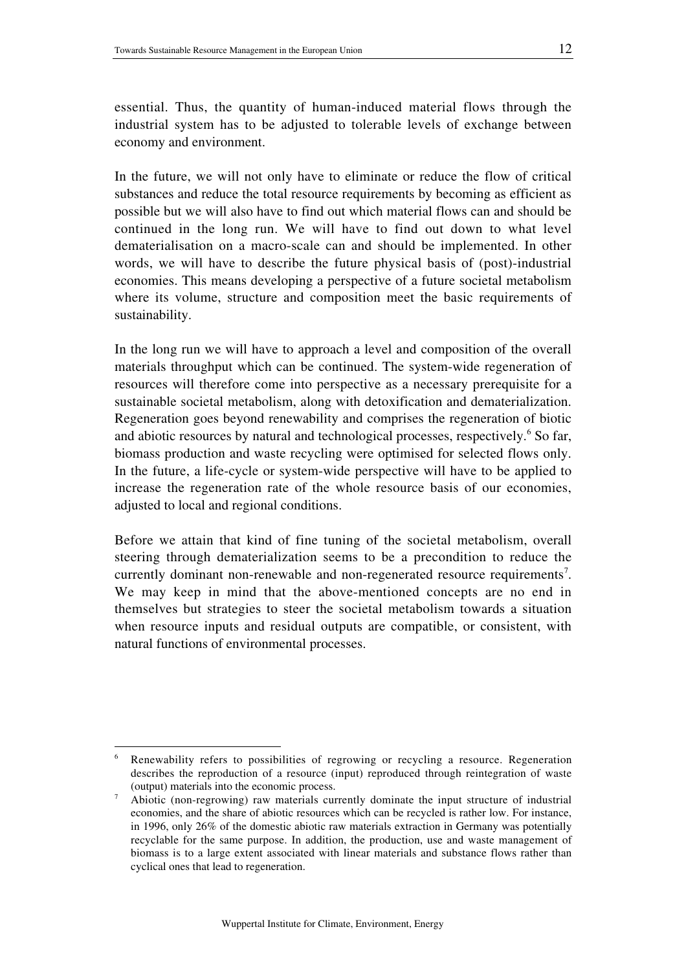essential. Thus, the quantity of human-induced material flows through the industrial system has to be adjusted to tolerable levels of exchange between economy and environment.

In the future, we will not only have to eliminate or reduce the flow of critical substances and reduce the total resource requirements by becoming as efficient as possible but we will also have to find out which material flows can and should be continued in the long run. We will have to find out down to what level dematerialisation on a macro-scale can and should be implemented. In other words, we will have to describe the future physical basis of (post)-industrial economies. This means developing a perspective of a future societal metabolism where its volume, structure and composition meet the basic requirements of sustainability.

In the long run we will have to approach a level and composition of the overall materials throughput which can be continued. The system-wide regeneration of resources will therefore come into perspective as a necessary prerequisite for a sustainable societal metabolism, along with detoxification and dematerialization. Regeneration goes beyond renewability and comprises the regeneration of biotic and abiotic resources by natural and technological processes, respectively.<sup>6</sup> So far, biomass production and waste recycling were optimised for selected flows only. In the future, a life-cycle or system-wide perspective will have to be applied to increase the regeneration rate of the whole resource basis of our economies, adjusted to local and regional conditions.

Before we attain that kind of fine tuning of the societal metabolism, overall steering through dematerialization seems to be a precondition to reduce the currently dominant non-renewable and non-regenerated resource requirements<sup>7</sup>. We may keep in mind that the above-mentioned concepts are no end in themselves but strategies to steer the societal metabolism towards a situation when resource inputs and residual outputs are compatible, or consistent, with natural functions of environmental processes.

 <sup>6</sup> Renewability refers to possibilities of regrowing or recycling a resource. Regeneration describes the reproduction of a resource (input) reproduced through reintegration of waste (output) materials into the economic process.

<sup>&</sup>lt;sup>7</sup> Abiotic (non-regrowing) raw materials currently dominate the input structure of industrial economies, and the share of abiotic resources which can be recycled is rather low. For instance, in 1996, only 26% of the domestic abiotic raw materials extraction in Germany was potentially recyclable for the same purpose. In addition, the production, use and waste management of biomass is to a large extent associated with linear materials and substance flows rather than cyclical ones that lead to regeneration.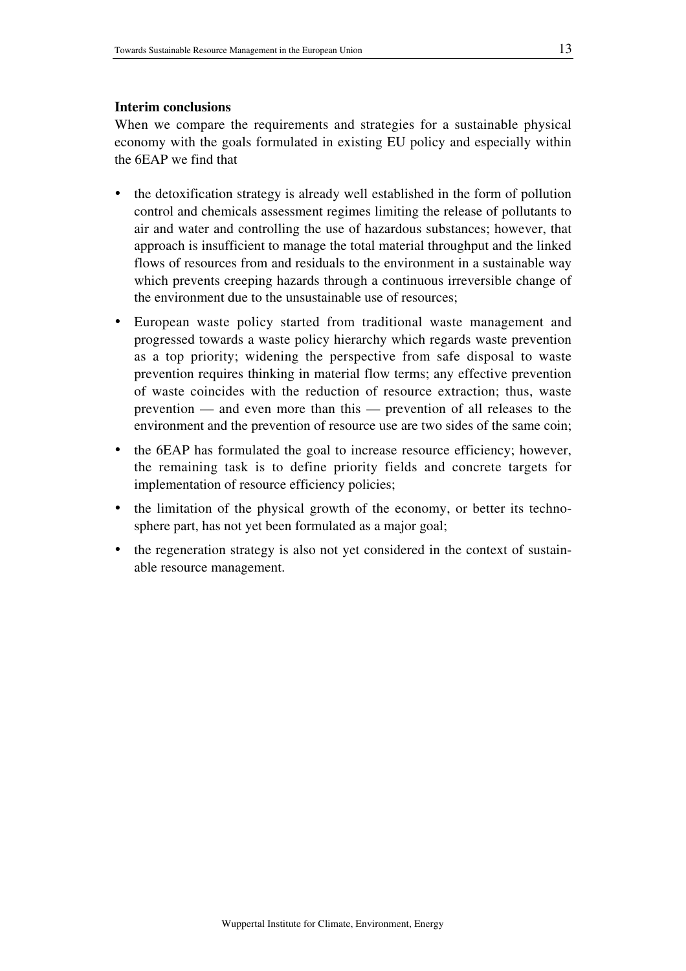#### **Interim conclusions**

When we compare the requirements and strategies for a sustainable physical economy with the goals formulated in existing EU policy and especially within the 6EAP we find that

- the detoxification strategy is already well established in the form of pollution control and chemicals assessment regimes limiting the release of pollutants to air and water and controlling the use of hazardous substances; however, that approach is insufficient to manage the total material throughput and the linked flows of resources from and residuals to the environment in a sustainable way which prevents creeping hazards through a continuous irreversible change of the environment due to the unsustainable use of resources;
- European waste policy started from traditional waste management and progressed towards a waste policy hierarchy which regards waste prevention as a top priority; widening the perspective from safe disposal to waste prevention requires thinking in material flow terms; any effective prevention of waste coincides with the reduction of resource extraction; thus, waste prevention — and even more than this — prevention of all releases to the environment and the prevention of resource use are two sides of the same coin;
- the 6EAP has formulated the goal to increase resource efficiency; however, the remaining task is to define priority fields and concrete targets for implementation of resource efficiency policies;
- the limitation of the physical growth of the economy, or better its technosphere part, has not yet been formulated as a major goal;
- the regeneration strategy is also not yet considered in the context of sustainable resource management.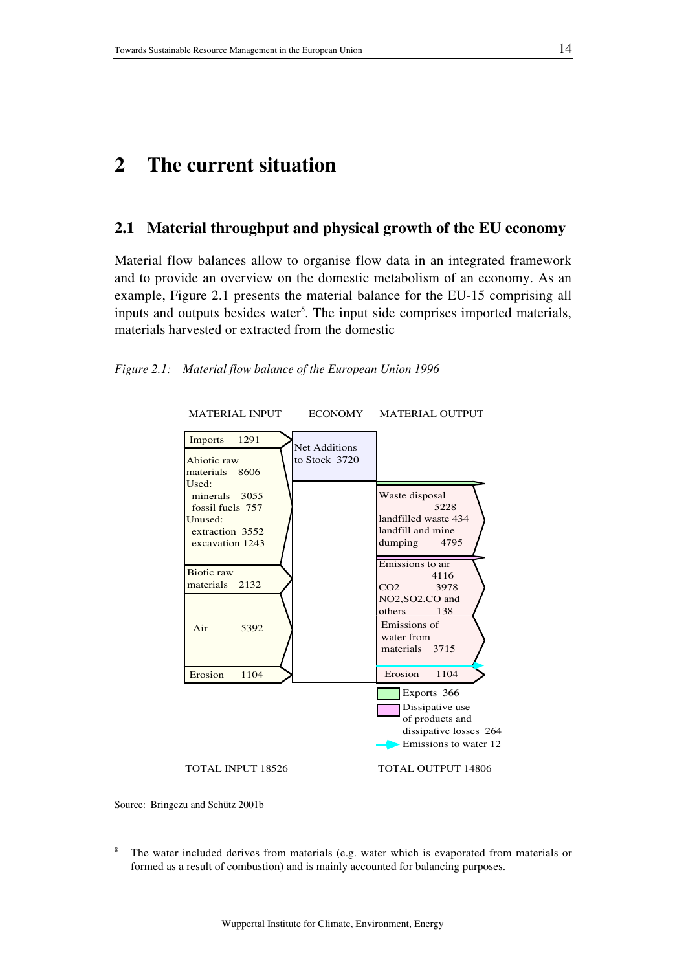#### **2.1 Material throughput and physical growth of the EU economy**

Material flow balances allow to organise flow data in an integrated framework and to provide an overview on the domestic metabolism of an economy. As an example, Figure 2.1 presents the material balance for the EU-15 comprising all inputs and outputs besides water<sup>8</sup>. The input side comprises imported materials, materials harvested or extracted from the domestic

*Figure 2.1: Material flow balance of the European Union 1996*



Source: Bringezu and Schütz 2001b

 <sup>8</sup> The water included derives from materials (e.g. water which is evaporated from materials or formed as a result of combustion) and is mainly accounted for balancing purposes.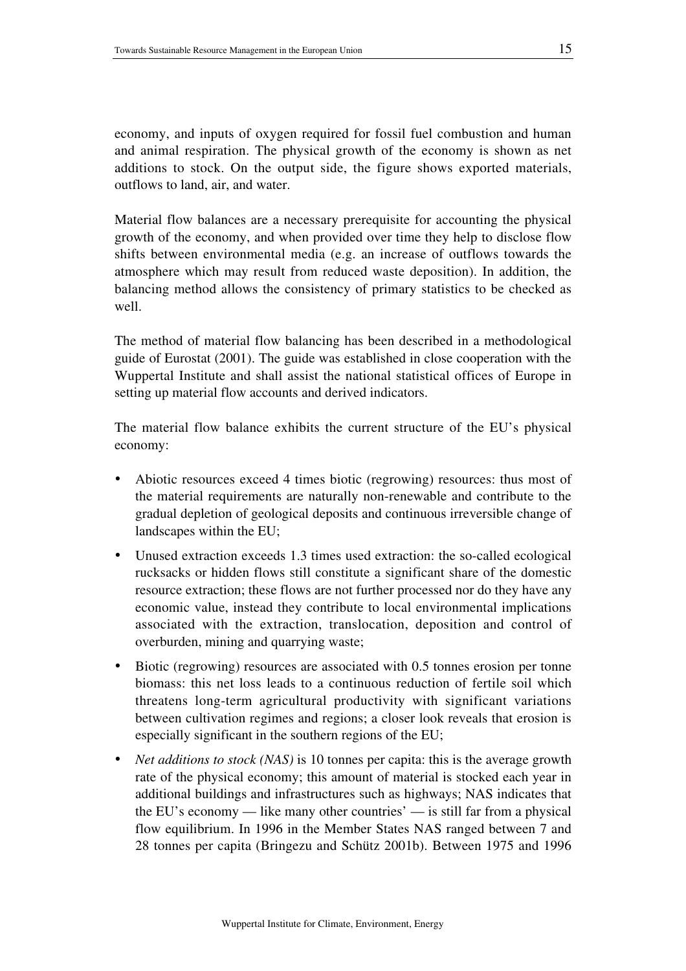economy, and inputs of oxygen required for fossil fuel combustion and human and animal respiration. The physical growth of the economy is shown as net additions to stock. On the output side, the figure shows exported materials, outflows to land, air, and water.

Material flow balances are a necessary prerequisite for accounting the physical growth of the economy, and when provided over time they help to disclose flow shifts between environmental media (e.g. an increase of outflows towards the atmosphere which may result from reduced waste deposition). In addition, the balancing method allows the consistency of primary statistics to be checked as well.

The method of material flow balancing has been described in a methodological guide of Eurostat (2001). The guide was established in close cooperation with the Wuppertal Institute and shall assist the national statistical offices of Europe in setting up material flow accounts and derived indicators.

The material flow balance exhibits the current structure of the EU's physical economy:

- Abiotic resources exceed 4 times biotic (regrowing) resources: thus most of the material requirements are naturally non-renewable and contribute to the gradual depletion of geological deposits and continuous irreversible change of landscapes within the EU;
- Unused extraction exceeds 1.3 times used extraction: the so-called ecological rucksacks or hidden flows still constitute a significant share of the domestic resource extraction; these flows are not further processed nor do they have any economic value, instead they contribute to local environmental implications associated with the extraction, translocation, deposition and control of overburden, mining and quarrying waste;
- Biotic (regrowing) resources are associated with 0.5 tonnes erosion per tonne biomass: this net loss leads to a continuous reduction of fertile soil which threatens long-term agricultural productivity with significant variations between cultivation regimes and regions; a closer look reveals that erosion is especially significant in the southern regions of the EU;
- *Net additions to stock (NAS)* is 10 tonnes per capita: this is the average growth rate of the physical economy; this amount of material is stocked each year in additional buildings and infrastructures such as highways; NAS indicates that the EU's economy — like many other countries' — is still far from a physical flow equilibrium. In 1996 in the Member States NAS ranged between 7 and 28 tonnes per capita (Bringezu and Schütz 2001b). Between 1975 and 1996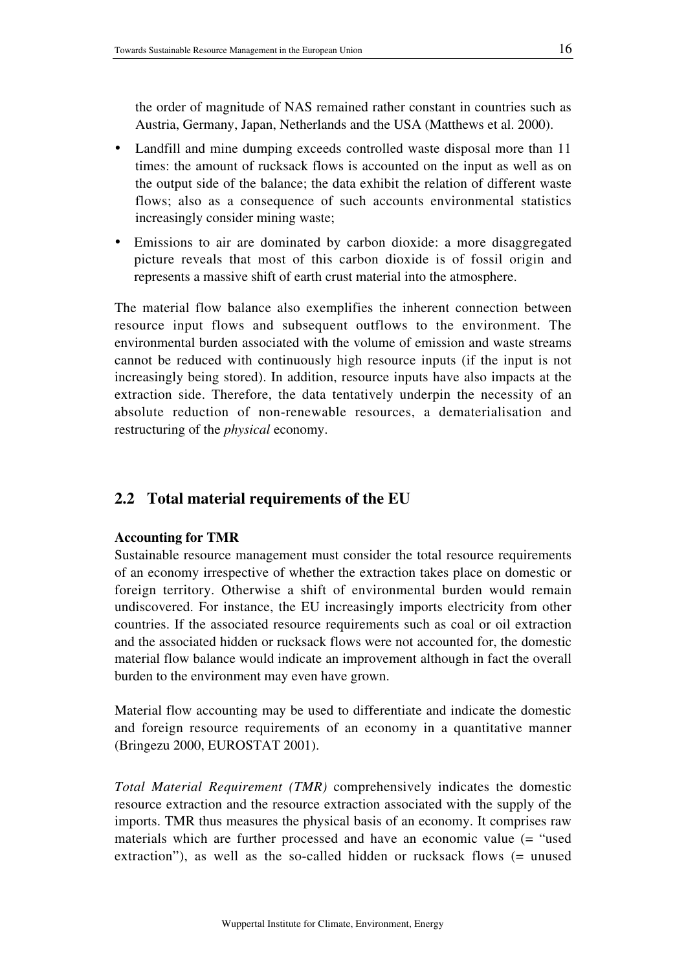the order of magnitude of NAS remained rather constant in countries such as Austria, Germany, Japan, Netherlands and the USA (Matthews et al. 2000).

- Landfill and mine dumping exceeds controlled waste disposal more than 11 times: the amount of rucksack flows is accounted on the input as well as on the output side of the balance; the data exhibit the relation of different waste flows; also as a consequence of such accounts environmental statistics increasingly consider mining waste;
- Emissions to air are dominated by carbon dioxide: a more disaggregated picture reveals that most of this carbon dioxide is of fossil origin and represents a massive shift of earth crust material into the atmosphere.

The material flow balance also exemplifies the inherent connection between resource input flows and subsequent outflows to the environment. The environmental burden associated with the volume of emission and waste streams cannot be reduced with continuously high resource inputs (if the input is not increasingly being stored). In addition, resource inputs have also impacts at the extraction side. Therefore, the data tentatively underpin the necessity of an absolute reduction of non-renewable resources, a dematerialisation and restructuring of the *physical* economy.

# **2.2 Total material requirements of the EU**

### **Accounting for TMR**

Sustainable resource management must consider the total resource requirements of an economy irrespective of whether the extraction takes place on domestic or foreign territory. Otherwise a shift of environmental burden would remain undiscovered. For instance, the EU increasingly imports electricity from other countries. If the associated resource requirements such as coal or oil extraction and the associated hidden or rucksack flows were not accounted for, the domestic material flow balance would indicate an improvement although in fact the overall burden to the environment may even have grown.

Material flow accounting may be used to differentiate and indicate the domestic and foreign resource requirements of an economy in a quantitative manner (Bringezu 2000, EUROSTAT 2001).

*Total Material Requirement (TMR)* comprehensively indicates the domestic resource extraction and the resource extraction associated with the supply of the imports. TMR thus measures the physical basis of an economy. It comprises raw materials which are further processed and have an economic value (= "used extraction"), as well as the so-called hidden or rucksack flows  $(=$  unused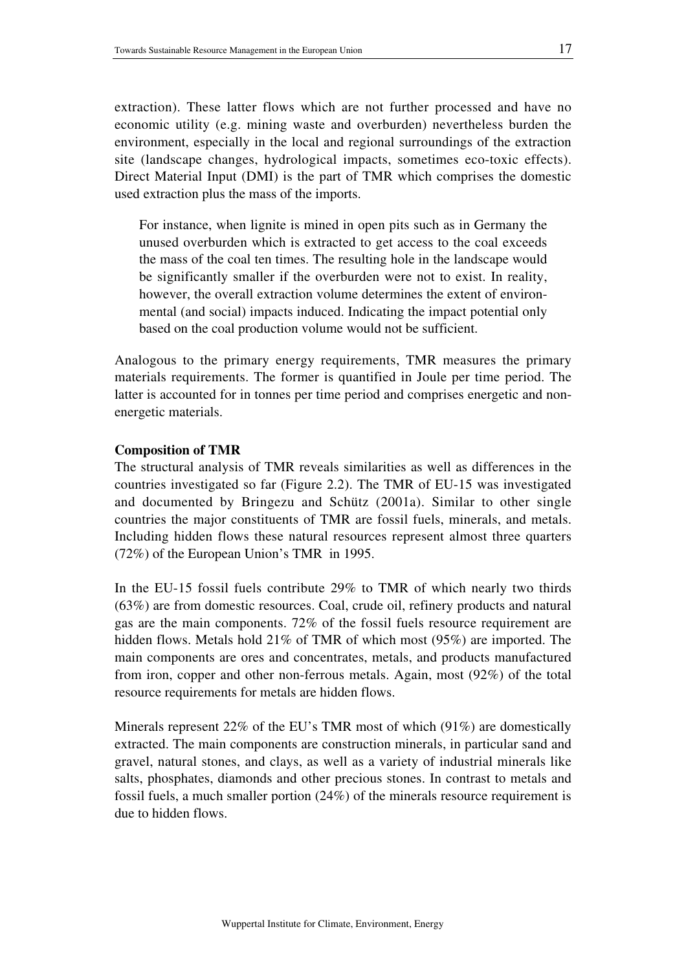extraction). These latter flows which are not further processed and have no economic utility (e.g. mining waste and overburden) nevertheless burden the environment, especially in the local and regional surroundings of the extraction site (landscape changes, hydrological impacts, sometimes eco-toxic effects). Direct Material Input (DMI) is the part of TMR which comprises the domestic used extraction plus the mass of the imports.

For instance, when lignite is mined in open pits such as in Germany the unused overburden which is extracted to get access to the coal exceeds the mass of the coal ten times. The resulting hole in the landscape would be significantly smaller if the overburden were not to exist. In reality, however, the overall extraction volume determines the extent of environmental (and social) impacts induced. Indicating the impact potential only based on the coal production volume would not be sufficient.

Analogous to the primary energy requirements, TMR measures the primary materials requirements. The former is quantified in Joule per time period. The latter is accounted for in tonnes per time period and comprises energetic and nonenergetic materials.

#### **Composition of TMR**

The structural analysis of TMR reveals similarities as well as differences in the countries investigated so far (Figure 2.2). The TMR of EU-15 was investigated and documented by Bringezu and Schütz (2001a). Similar to other single countries the major constituents of TMR are fossil fuels, minerals, and metals. Including hidden flows these natural resources represent almost three quarters (72%) of the European Union's TMR in 1995.

In the EU-15 fossil fuels contribute 29% to TMR of which nearly two thirds (63%) are from domestic resources. Coal, crude oil, refinery products and natural gas are the main components. 72% of the fossil fuels resource requirement are hidden flows. Metals hold 21% of TMR of which most (95%) are imported. The main components are ores and concentrates, metals, and products manufactured from iron, copper and other non-ferrous metals. Again, most (92%) of the total resource requirements for metals are hidden flows.

Minerals represent 22% of the EU's TMR most of which (91%) are domestically extracted. The main components are construction minerals, in particular sand and gravel, natural stones, and clays, as well as a variety of industrial minerals like salts, phosphates, diamonds and other precious stones. In contrast to metals and fossil fuels, a much smaller portion (24%) of the minerals resource requirement is due to hidden flows.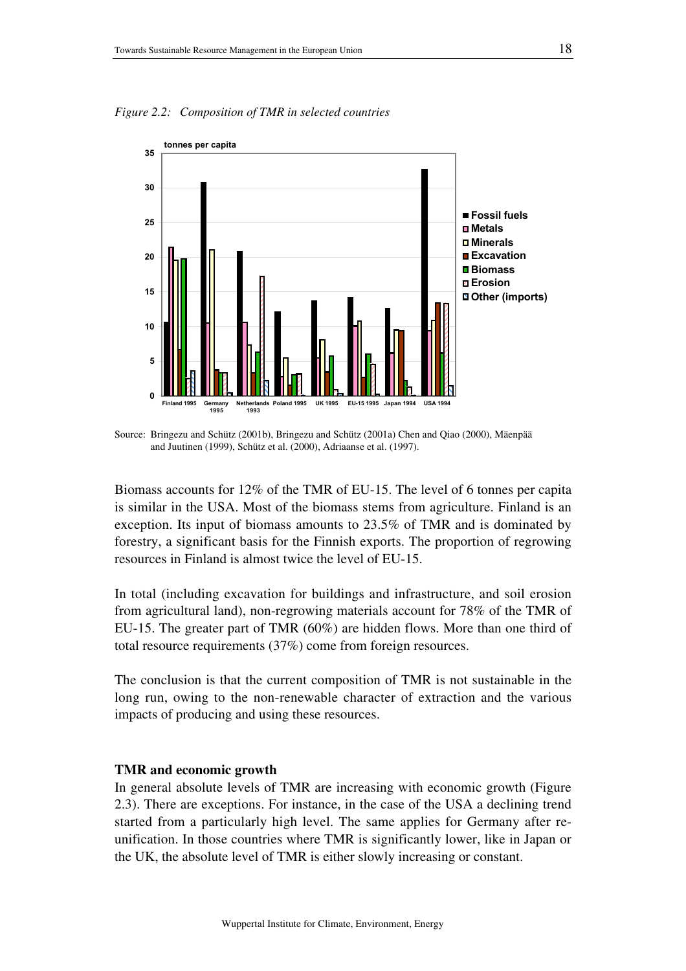*Figure 2.2: Composition of TMR in selected countries*



Source: Bringezu and Schütz (2001b), Bringezu and Schütz (2001a) Chen and Qiao (2000), Mäenpää and Juutinen (1999), Schütz et al. (2000), Adriaanse et al. (1997).

Biomass accounts for 12% of the TMR of EU-15. The level of 6 tonnes per capita is similar in the USA. Most of the biomass stems from agriculture. Finland is an exception. Its input of biomass amounts to 23.5% of TMR and is dominated by forestry, a significant basis for the Finnish exports. The proportion of regrowing resources in Finland is almost twice the level of EU-15.

In total (including excavation for buildings and infrastructure, and soil erosion from agricultural land), non-regrowing materials account for 78% of the TMR of EU-15. The greater part of TMR (60%) are hidden flows. More than one third of total resource requirements (37%) come from foreign resources.

The conclusion is that the current composition of TMR is not sustainable in the long run, owing to the non-renewable character of extraction and the various impacts of producing and using these resources.

#### **TMR and economic growth**

In general absolute levels of TMR are increasing with economic growth (Figure 2.3). There are exceptions. For instance, in the case of the USA a declining trend started from a particularly high level. The same applies for Germany after reunification. In those countries where TMR is significantly lower, like in Japan or the UK, the absolute level of TMR is either slowly increasing or constant.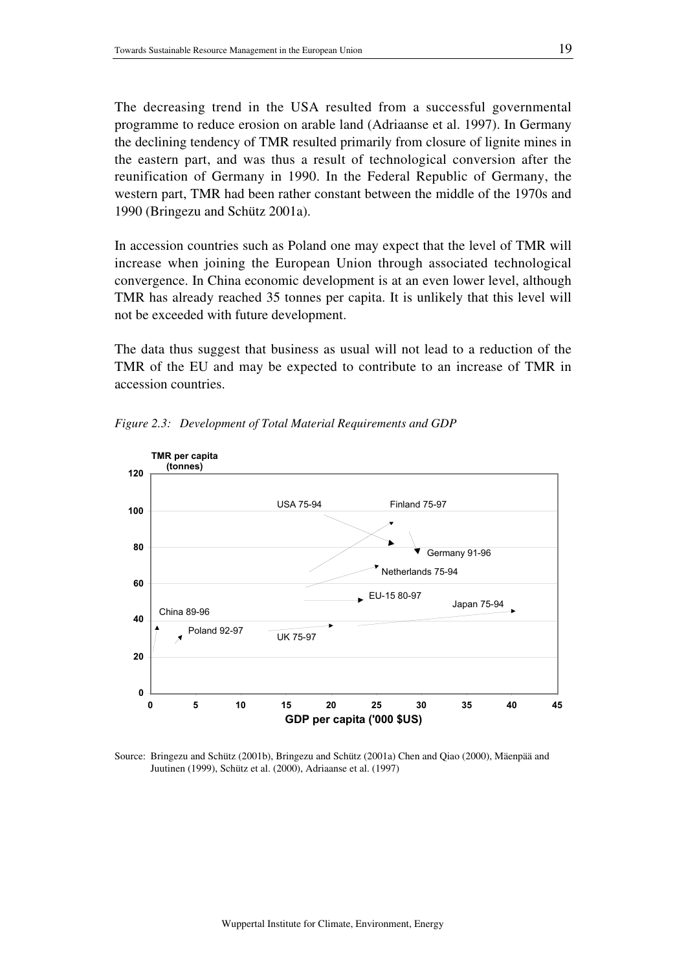The decreasing trend in the USA resulted from a successful governmental programme to reduce erosion on arable land (Adriaanse et al. 1997). In Germany the declining tendency of TMR resulted primarily from closure of lignite mines in the eastern part, and was thus a result of technological conversion after the reunification of Germany in 1990. In the Federal Republic of Germany, the western part, TMR had been rather constant between the middle of the 1970s and 1990 (Bringezu and Schütz 2001a).

In accession countries such as Poland one may expect that the level of TMR will increase when joining the European Union through associated technological convergence. In China economic development is at an even lower level, although TMR has already reached 35 tonnes per capita. It is unlikely that this level will not be exceeded with future development.

The data thus suggest that business as usual will not lead to a reduction of the TMR of the EU and may be expected to contribute to an increase of TMR in accession countries.



*Figure 2.3: Development of Total Material Requirements and GDP*

Source: Bringezu and Schütz (2001b), Bringezu and Schütz (2001a) Chen and Qiao (2000), Mäenpää and Juutinen (1999), Schütz et al. (2000), Adriaanse et al. (1997)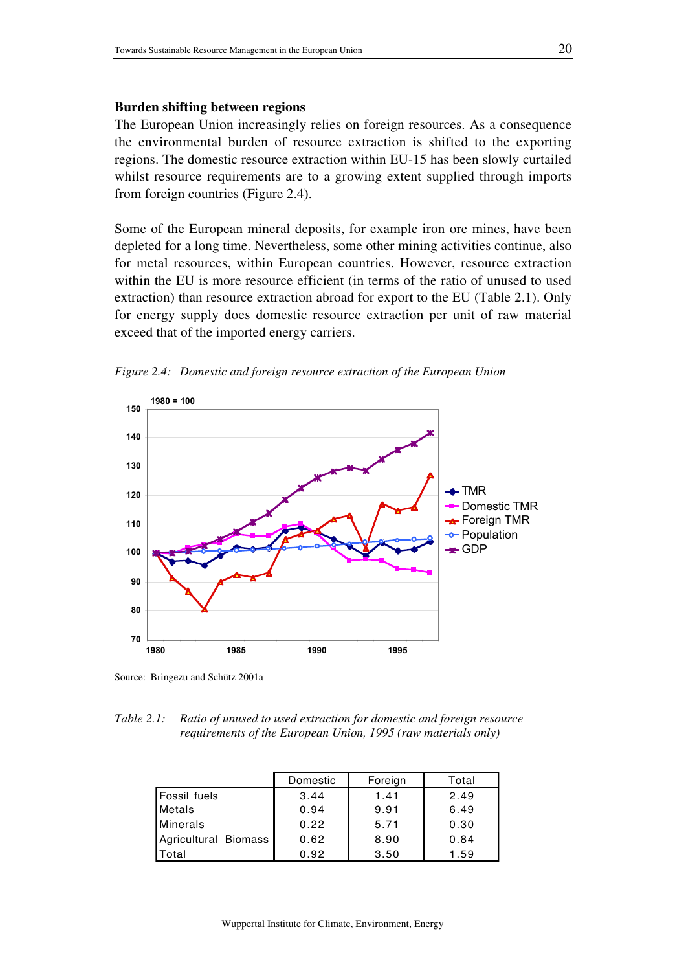#### **Burden shifting between regions**

The European Union increasingly relies on foreign resources. As a consequence the environmental burden of resource extraction is shifted to the exporting regions. The domestic resource extraction within EU-15 has been slowly curtailed whilst resource requirements are to a growing extent supplied through imports from foreign countries (Figure 2.4).

Some of the European mineral deposits, for example iron ore mines, have been depleted for a long time. Nevertheless, some other mining activities continue, also for metal resources, within European countries. However, resource extraction within the EU is more resource efficient (in terms of the ratio of unused to used extraction) than resource extraction abroad for export to the EU (Table 2.1). Only for energy supply does domestic resource extraction per unit of raw material exceed that of the imported energy carriers.



*Figure 2.4: Domestic and foreign resource extraction of the European Union*

*Table 2.1: Ratio of unused to used extraction for domestic and foreign resource requirements of the European Union, 1995 (raw materials only)*

|                      | Domestic | Foreign | Total |
|----------------------|----------|---------|-------|
| Fossil fuels         | 3.44     | 1.41    | 2.49  |
| <b>I</b> Metals      | 0.94     | 9.91    | 6.49  |
| <b>I</b> Minerals    | 0.22     | 5.71    | 0.30  |
| Agricultural Biomass | 0.62     | 8.90    | 0.84  |
| Total                | 0.92     | 3.50    | 1.59  |

Source: Bringezu and Schütz 2001a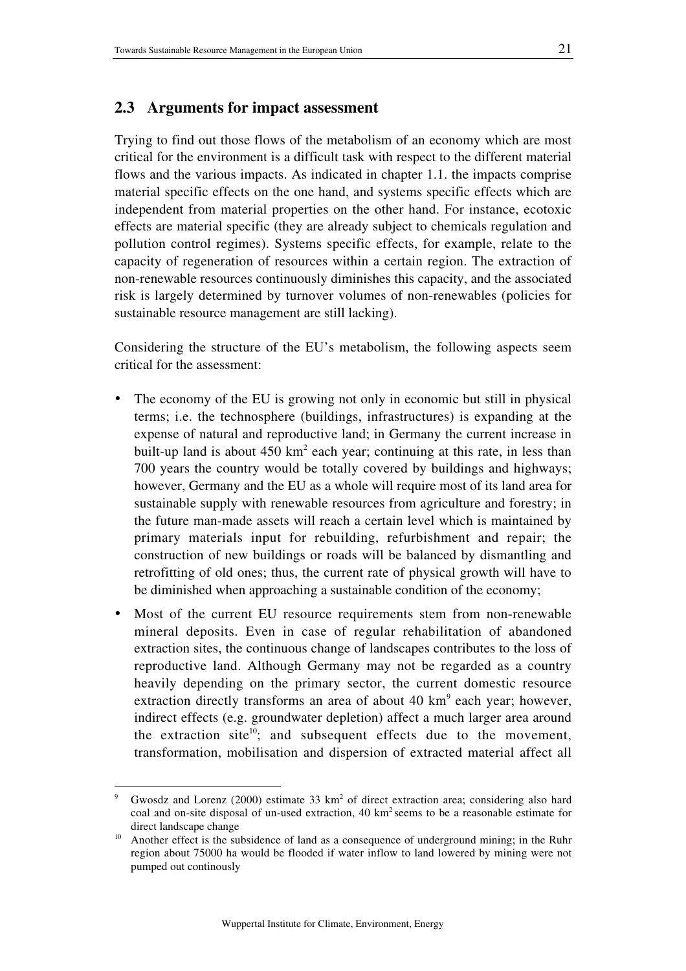#### **2.3 Arguments for impact assessment**

Trying to find out those flows of the metabolism of an economy which are most critical for the environment is a difficult task with respect to the different material flows and the various impacts. As indicated in chapter 1.1. the impacts comprise material specific effects on the one hand, and systems specific effects which are independent from material properties on the other hand. For instance, ecotoxic effects are material specific (they are already subject to chemicals regulation and pollution control regimes). Systems specific effects, for example, relate to the capacity of regeneration of resources within a certain region. The extraction of non-renewable resources continuously diminishes this capacity, and the associated risk is largely determined by turnover volumes of non-renewables (policies for sustainable resource management are still lacking).

Considering the structure of the EU's metabolism, the following aspects seem critical for the assessment:

- The economy of the EU is growing not only in economic but still in physical terms; i.e. the technosphere (buildings, infrastructures) is expanding at the expense of natural and reproductive land; in Germany the current increase in built-up land is about  $450 \text{ km}^2$  each year; continuing at this rate, in less than 700 years the country would be totally covered by buildings and highways; however, Germany and the EU as a whole will require most of its land area for sustainable supply with renewable resources from agriculture and forestry; in the future man-made assets will reach a certain level which is maintained by primary materials input for rebuilding, refurbishment and repair; the construction of new buildings or roads will be balanced by dismantling and retrofitting of old ones; thus, the current rate of physical growth will have to be diminished when approaching a sustainable condition of the economy;
- Most of the current EU resource requirements stem from non-renewable mineral deposits. Even in case of regular rehabilitation of abandoned extraction sites, the continuous change of landscapes contributes to the loss of reproductive land. Although Germany may not be regarded as a country heavily depending on the primary sector, the current domestic resource extraction directly transforms an area of about 40  $km^9$  each year; however, indirect effects (e.g. groundwater depletion) affect a much larger area around the extraction site<sup>10</sup>; and subsequent effects due to the movement, transformation, mobilisation and dispersion of extracted material affect all

<sup>-&</sup>lt;br>9 Gwosdz and Lorenz (2000) estimate  $33 \text{ km}^2$  of direct extraction area; considering also hard coal and on-site disposal of un-used extraction, 40 km2 seems to be a reasonable estimate for direct landscape change

<sup>&</sup>lt;sup>10</sup> Another effect is the subsidence of land as a consequence of underground mining; in the Ruhr region about 75000 ha would be flooded if water inflow to land lowered by mining were not pumped out continously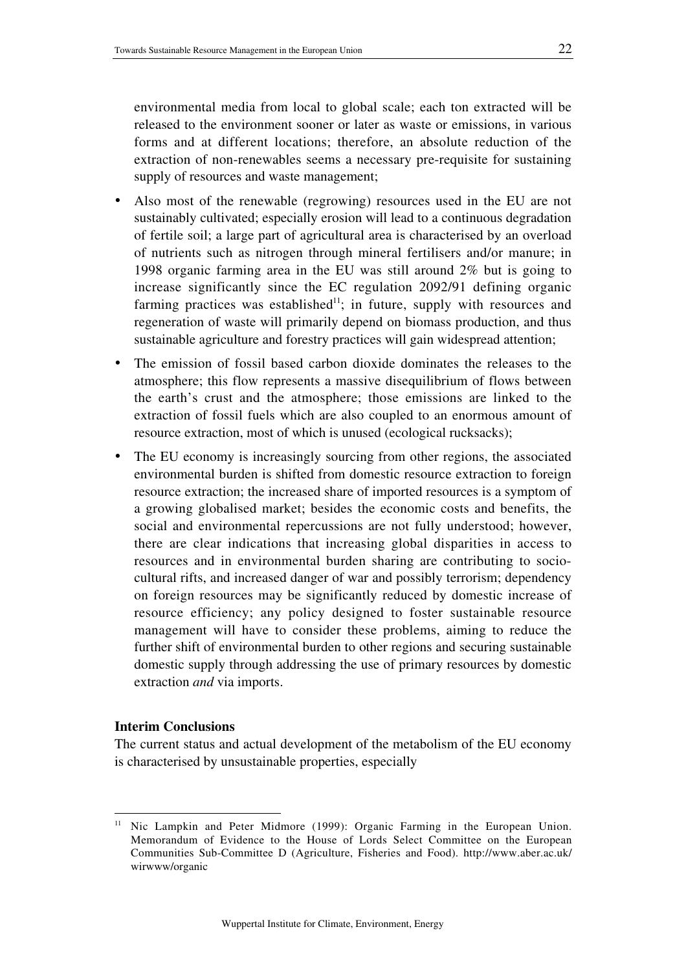environmental media from local to global scale; each ton extracted will be released to the environment sooner or later as waste or emissions, in various forms and at different locations; therefore, an absolute reduction of the extraction of non-renewables seems a necessary pre-requisite for sustaining supply of resources and waste management;

- Also most of the renewable (regrowing) resources used in the EU are not sustainably cultivated; especially erosion will lead to a continuous degradation of fertile soil; a large part of agricultural area is characterised by an overload of nutrients such as nitrogen through mineral fertilisers and/or manure; in 1998 organic farming area in the EU was still around 2% but is going to increase significantly since the EC regulation 2092/91 defining organic farming practices was established<sup>11</sup>; in future, supply with resources and regeneration of waste will primarily depend on biomass production, and thus sustainable agriculture and forestry practices will gain widespread attention;
- The emission of fossil based carbon dioxide dominates the releases to the atmosphere; this flow represents a massive disequilibrium of flows between the earth's crust and the atmosphere; those emissions are linked to the extraction of fossil fuels which are also coupled to an enormous amount of resource extraction, most of which is unused (ecological rucksacks);
- The EU economy is increasingly sourcing from other regions, the associated environmental burden is shifted from domestic resource extraction to foreign resource extraction; the increased share of imported resources is a symptom of a growing globalised market; besides the economic costs and benefits, the social and environmental repercussions are not fully understood; however, there are clear indications that increasing global disparities in access to resources and in environmental burden sharing are contributing to sociocultural rifts, and increased danger of war and possibly terrorism; dependency on foreign resources may be significantly reduced by domestic increase of resource efficiency; any policy designed to foster sustainable resource management will have to consider these problems, aiming to reduce the further shift of environmental burden to other regions and securing sustainable domestic supply through addressing the use of primary resources by domestic extraction *and* via imports.

#### **Interim Conclusions**

The current status and actual development of the metabolism of the EU economy is characterised by unsustainable properties, especially

Nic Lampkin and Peter Midmore (1999): Organic Farming in the European Union. Memorandum of Evidence to the House of Lords Select Committee on the European Communities Sub-Committee D (Agriculture, Fisheries and Food). http://www.aber.ac.uk/ wirwww/organic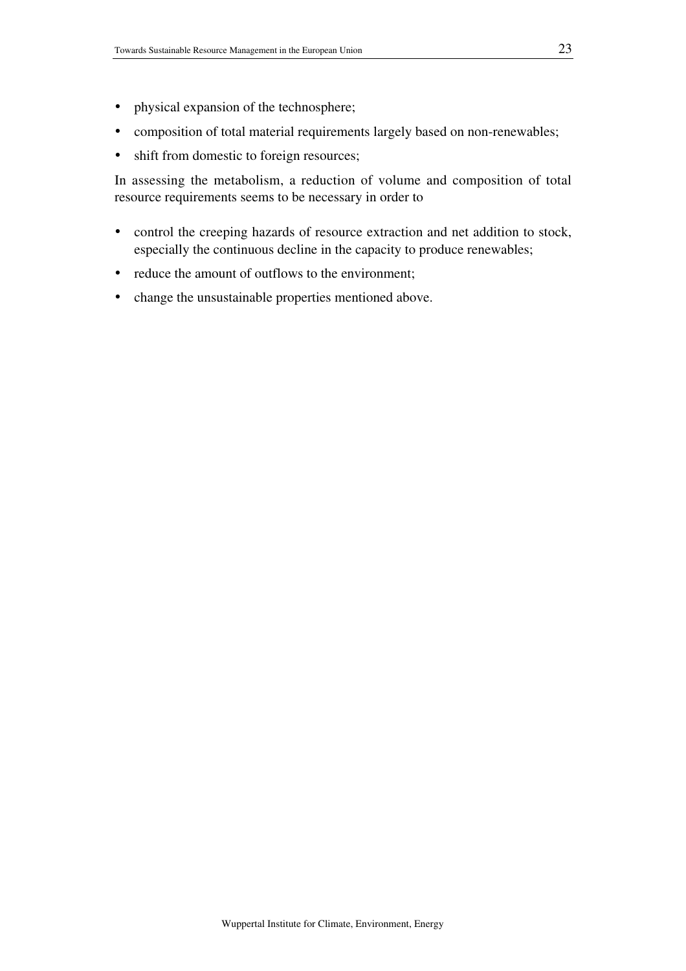- physical expansion of the technosphere;
- composition of total material requirements largely based on non-renewables;
- shift from domestic to foreign resources;

In assessing the metabolism, a reduction of volume and composition of total resource requirements seems to be necessary in order to

- control the creeping hazards of resource extraction and net addition to stock, especially the continuous decline in the capacity to produce renewables;
- reduce the amount of outflows to the environment;
- change the unsustainable properties mentioned above.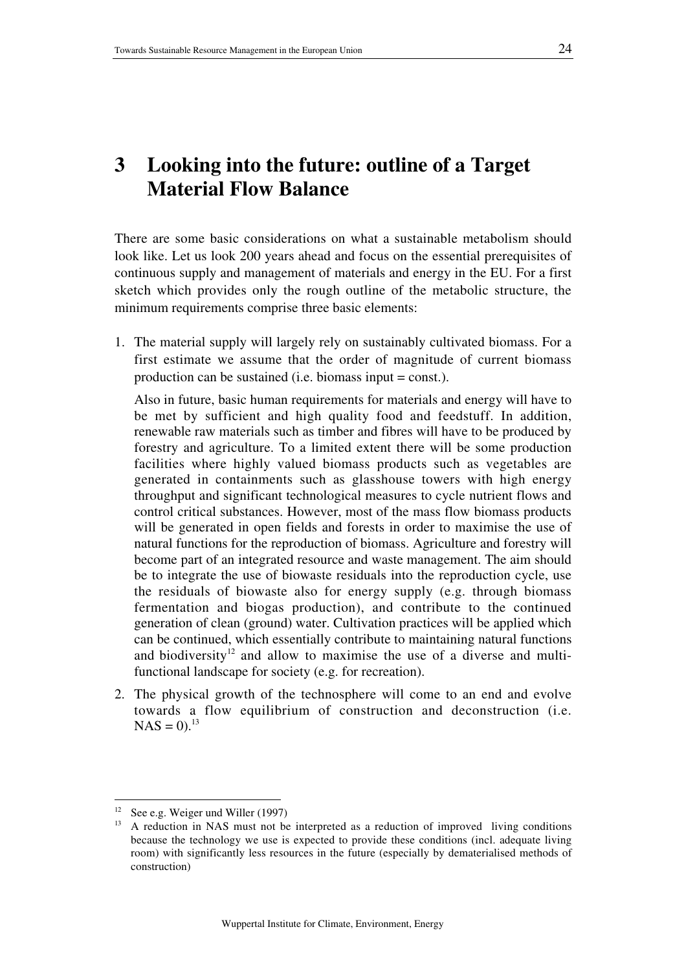# **3 Looking into the future: outline of a Target Material Flow Balance**

There are some basic considerations on what a sustainable metabolism should look like. Let us look 200 years ahead and focus on the essential prerequisites of continuous supply and management of materials and energy in the EU. For a first sketch which provides only the rough outline of the metabolic structure, the minimum requirements comprise three basic elements:

1. The material supply will largely rely on sustainably cultivated biomass. For a first estimate we assume that the order of magnitude of current biomass production can be sustained (i.e. biomass input = const.).

Also in future, basic human requirements for materials and energy will have to be met by sufficient and high quality food and feedstuff. In addition, renewable raw materials such as timber and fibres will have to be produced by forestry and agriculture. To a limited extent there will be some production facilities where highly valued biomass products such as vegetables are generated in containments such as glasshouse towers with high energy throughput and significant technological measures to cycle nutrient flows and control critical substances. However, most of the mass flow biomass products will be generated in open fields and forests in order to maximise the use of natural functions for the reproduction of biomass. Agriculture and forestry will become part of an integrated resource and waste management. The aim should be to integrate the use of biowaste residuals into the reproduction cycle, use the residuals of biowaste also for energy supply (e.g. through biomass fermentation and biogas production), and contribute to the continued generation of clean (ground) water. Cultivation practices will be applied which can be continued, which essentially contribute to maintaining natural functions and biodiversity<sup>12</sup> and allow to maximise the use of a diverse and multifunctional landscape for society (e.g. for recreation).

2. The physical growth of the technosphere will come to an end and evolve towards a flow equilibrium of construction and deconstruction (i.e.  $NAS = 0$ .<sup>13</sup>

<sup>&</sup>lt;sup>12</sup> See e.g. Weiger und Willer (1997)

<sup>&</sup>lt;sup>13</sup> A reduction in NAS must not be interpreted as a reduction of improved living conditions because the technology we use is expected to provide these conditions (incl. adequate living room) with significantly less resources in the future (especially by dematerialised methods of construction)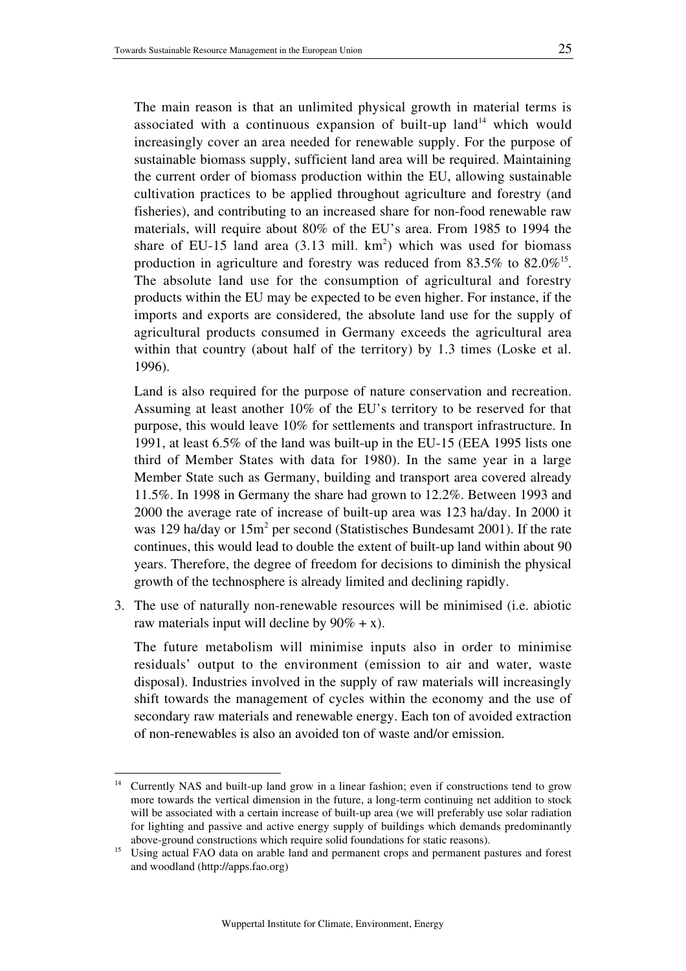The main reason is that an unlimited physical growth in material terms is associated with a continuous expansion of built-up land<sup>14</sup> which would increasingly cover an area needed for renewable supply. For the purpose of sustainable biomass supply, sufficient land area will be required. Maintaining the current order of biomass production within the EU, allowing sustainable cultivation practices to be applied throughout agriculture and forestry (and fisheries), and contributing to an increased share for non-food renewable raw materials, will require about 80% of the EU's area. From 1985 to 1994 the share of EU-15 land area  $(3.13 \text{ mill. km}^2)$  which was used for biomass production in agriculture and forestry was reduced from  $83.5\%$  to  $82.0\%$ <sup>15</sup>. The absolute land use for the consumption of agricultural and forestry products within the EU may be expected to be even higher. For instance, if the imports and exports are considered, the absolute land use for the supply of agricultural products consumed in Germany exceeds the agricultural area within that country (about half of the territory) by 1.3 times (Loske et al. 1996).

Land is also required for the purpose of nature conservation and recreation. Assuming at least another 10% of the EU's territory to be reserved for that purpose, this would leave 10% for settlements and transport infrastructure. In 1991, at least 6.5% of the land was built-up in the EU-15 (EEA 1995 lists one third of Member States with data for 1980). In the same year in a large Member State such as Germany, building and transport area covered already 11.5%. In 1998 in Germany the share had grown to 12.2%. Between 1993 and 2000 the average rate of increase of built-up area was 123 ha/day. In 2000 it was 129 ha/day or 15m<sup>2</sup> per second (Statistisches Bundesamt 2001). If the rate continues, this would lead to double the extent of built-up land within about 90 years. Therefore, the degree of freedom for decisions to diminish the physical growth of the technosphere is already limited and declining rapidly.

3. The use of naturally non-renewable resources will be minimised (i.e. abiotic raw materials input will decline by  $90\% + x$ ).

The future metabolism will minimise inputs also in order to minimise residuals' output to the environment (emission to air and water, waste disposal). Industries involved in the supply of raw materials will increasingly shift towards the management of cycles within the economy and the use of secondary raw materials and renewable energy. Each ton of avoided extraction of non-renewables is also an avoided ton of waste and/or emission.

<sup>&</sup>lt;sup>14</sup> Currently NAS and built-up land grow in a linear fashion; even if constructions tend to grow more towards the vertical dimension in the future, a long-term continuing net addition to stock will be associated with a certain increase of built-up area (we will preferably use solar radiation for lighting and passive and active energy supply of buildings which demands predominantly above-ground constructions which require solid foundations for static reasons).

<sup>&</sup>lt;sup>15</sup> Using actual FAO data on arable land and permanent crops and permanent pastures and forest and woodland (http://apps.fao.org)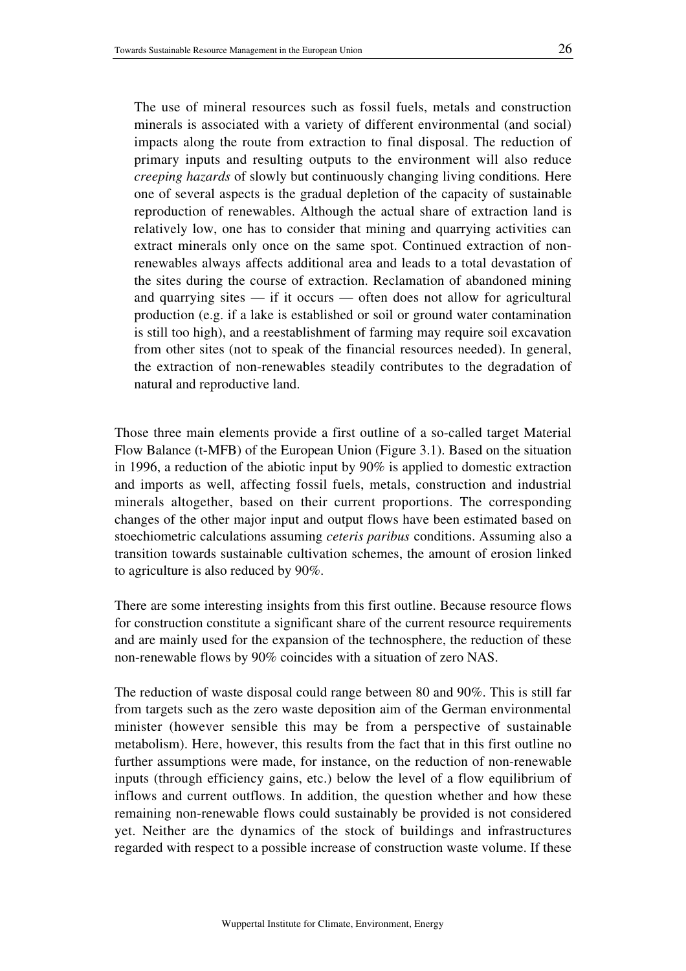The use of mineral resources such as fossil fuels, metals and construction minerals is associated with a variety of different environmental (and social) impacts along the route from extraction to final disposal. The reduction of primary inputs and resulting outputs to the environment will also reduce *creeping hazards* of slowly but continuously changing living conditions*.* Here one of several aspects is the gradual depletion of the capacity of sustainable reproduction of renewables. Although the actual share of extraction land is relatively low, one has to consider that mining and quarrying activities can extract minerals only once on the same spot. Continued extraction of nonrenewables always affects additional area and leads to a total devastation of the sites during the course of extraction. Reclamation of abandoned mining and quarrying sites — if it occurs — often does not allow for agricultural production (e.g. if a lake is established or soil or ground water contamination is still too high), and a reestablishment of farming may require soil excavation from other sites (not to speak of the financial resources needed). In general, the extraction of non-renewables steadily contributes to the degradation of natural and reproductive land.

Those three main elements provide a first outline of a so-called target Material Flow Balance (t-MFB) of the European Union (Figure 3.1). Based on the situation in 1996, a reduction of the abiotic input by 90% is applied to domestic extraction and imports as well, affecting fossil fuels, metals, construction and industrial minerals altogether, based on their current proportions. The corresponding changes of the other major input and output flows have been estimated based on stoechiometric calculations assuming *ceteris paribus* conditions. Assuming also a transition towards sustainable cultivation schemes, the amount of erosion linked to agriculture is also reduced by 90%.

There are some interesting insights from this first outline. Because resource flows for construction constitute a significant share of the current resource requirements and are mainly used for the expansion of the technosphere, the reduction of these non-renewable flows by 90% coincides with a situation of zero NAS.

The reduction of waste disposal could range between 80 and 90%. This is still far from targets such as the zero waste deposition aim of the German environmental minister (however sensible this may be from a perspective of sustainable metabolism). Here, however, this results from the fact that in this first outline no further assumptions were made, for instance, on the reduction of non-renewable inputs (through efficiency gains, etc.) below the level of a flow equilibrium of inflows and current outflows. In addition, the question whether and how these remaining non-renewable flows could sustainably be provided is not considered yet. Neither are the dynamics of the stock of buildings and infrastructures regarded with respect to a possible increase of construction waste volume. If these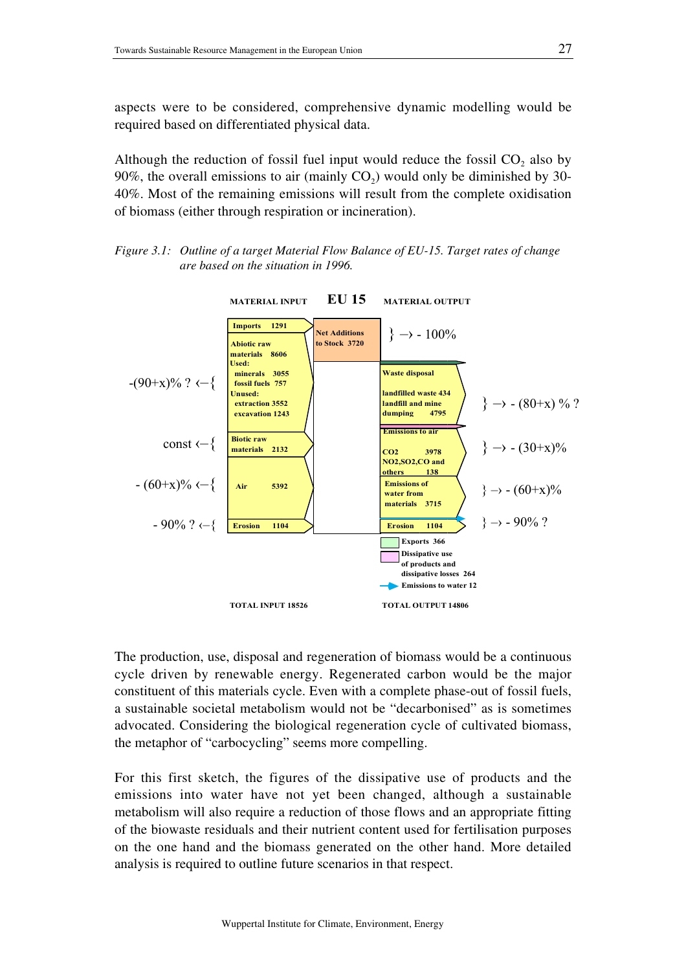aspects were to be considered, comprehensive dynamic modelling would be required based on differentiated physical data.

Although the reduction of fossil fuel input would reduce the fossil  $CO<sub>2</sub>$  also by 90%, the overall emissions to air (mainly  $CO<sub>2</sub>$ ) would only be diminished by 30-40%. Most of the remaining emissions will result from the complete oxidisation of biomass (either through respiration or incineration).

*Figure 3.1: Outline of a target Material Flow Balance of EU-15. Target rates of change are based on the situation in 1996.*



The production, use, disposal and regeneration of biomass would be a continuous cycle driven by renewable energy. Regenerated carbon would be the major constituent of this materials cycle. Even with a complete phase-out of fossil fuels, a sustainable societal metabolism would not be "decarbonised" as is sometimes advocated. Considering the biological regeneration cycle of cultivated biomass, the metaphor of "carbocycling" seems more compelling.

For this first sketch, the figures of the dissipative use of products and the emissions into water have not yet been changed, although a sustainable metabolism will also require a reduction of those flows and an appropriate fitting of the biowaste residuals and their nutrient content used for fertilisation purposes on the one hand and the biomass generated on the other hand. More detailed analysis is required to outline future scenarios in that respect.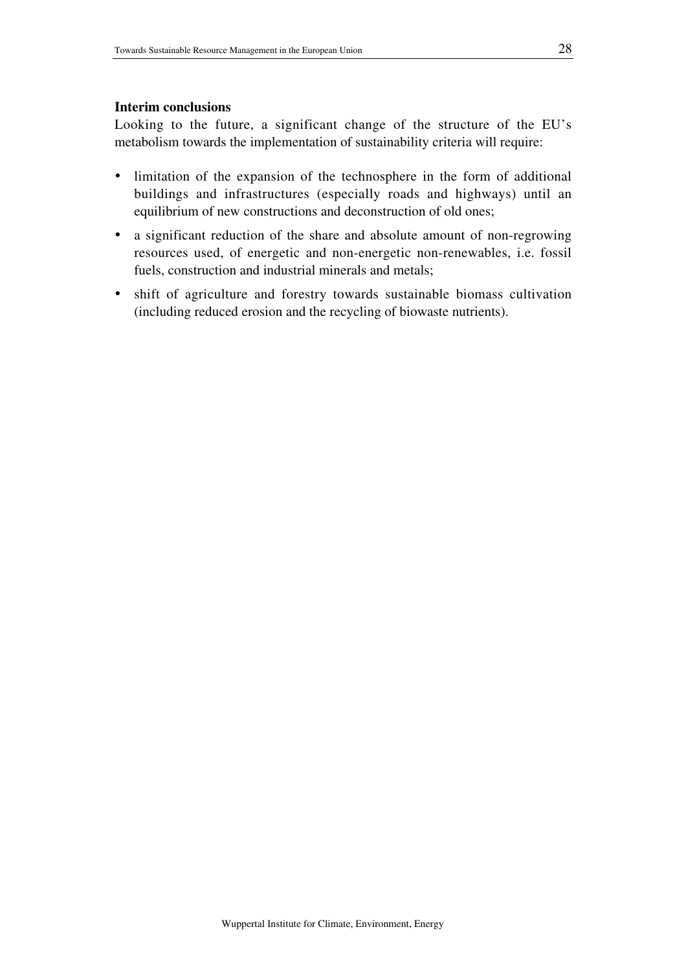#### **Interim conclusions**

Looking to the future, a significant change of the structure of the EU's metabolism towards the implementation of sustainability criteria will require:

- limitation of the expansion of the technosphere in the form of additional buildings and infrastructures (especially roads and highways) until an equilibrium of new constructions and deconstruction of old ones;
- a significant reduction of the share and absolute amount of non-regrowing resources used, of energetic and non-energetic non-renewables, i.e. fossil fuels, construction and industrial minerals and metals;
- shift of agriculture and forestry towards sustainable biomass cultivation (including reduced erosion and the recycling of biowaste nutrients).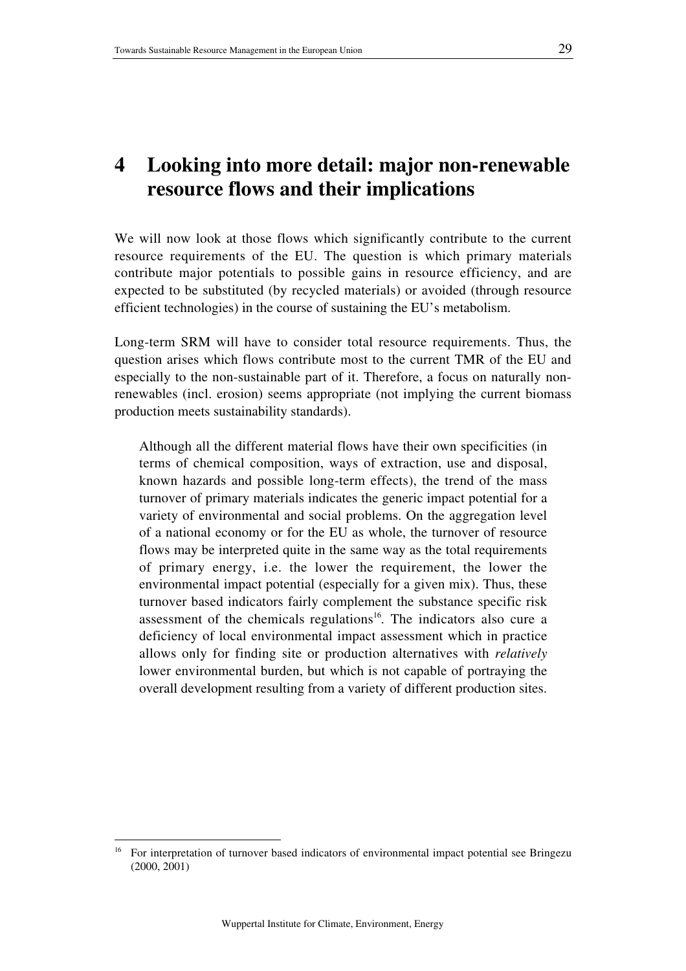# **4 Looking into more detail: major non-renewable resource flows and their implications**

We will now look at those flows which significantly contribute to the current resource requirements of the EU. The question is which primary materials contribute major potentials to possible gains in resource efficiency, and are expected to be substituted (by recycled materials) or avoided (through resource efficient technologies) in the course of sustaining the EU's metabolism.

Long-term SRM will have to consider total resource requirements. Thus, the question arises which flows contribute most to the current TMR of the EU and especially to the non-sustainable part of it. Therefore, a focus on naturally nonrenewables (incl. erosion) seems appropriate (not implying the current biomass production meets sustainability standards).

Although all the different material flows have their own specificities (in terms of chemical composition, ways of extraction, use and disposal, known hazards and possible long-term effects), the trend of the mass turnover of primary materials indicates the generic impact potential for a variety of environmental and social problems. On the aggregation level of a national economy or for the EU as whole, the turnover of resource flows may be interpreted quite in the same way as the total requirements of primary energy, i.e. the lower the requirement, the lower the environmental impact potential (especially for a given mix). Thus, these turnover based indicators fairly complement the substance specific risk assessment of the chemicals regulations<sup>16</sup>. The indicators also cure a deficiency of local environmental impact assessment which in practice allows only for finding site or production alternatives with *relatively* lower environmental burden, but which is not capable of portraying the overall development resulting from a variety of different production sites.

 <sup>16</sup> For interpretation of turnover based indicators of environmental impact potential see Bringezu (2000, 2001)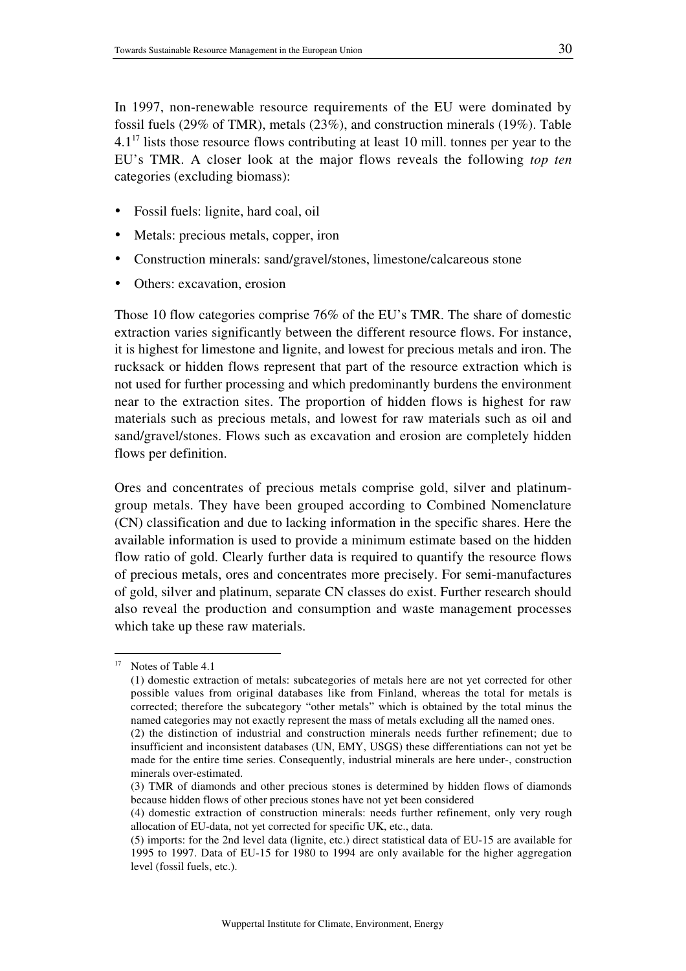In 1997, non-renewable resource requirements of the EU were dominated by fossil fuels (29% of TMR), metals (23%), and construction minerals (19%). Table  $4.1<sup>17</sup>$  lists those resource flows contributing at least 10 mill. tonnes per year to the EU's TMR. A closer look at the major flows reveals the following *top ten* categories (excluding biomass):

- Fossil fuels: lignite, hard coal, oil
- Metals: precious metals, copper, iron
- Construction minerals: sand/gravel/stones, limestone/calcareous stone
- Others: excavation, erosion

Those 10 flow categories comprise 76% of the EU's TMR. The share of domestic extraction varies significantly between the different resource flows. For instance, it is highest for limestone and lignite, and lowest for precious metals and iron. The rucksack or hidden flows represent that part of the resource extraction which is not used for further processing and which predominantly burdens the environment near to the extraction sites. The proportion of hidden flows is highest for raw materials such as precious metals, and lowest for raw materials such as oil and sand/gravel/stones. Flows such as excavation and erosion are completely hidden flows per definition.

Ores and concentrates of precious metals comprise gold, silver and platinumgroup metals. They have been grouped according to Combined Nomenclature (CN) classification and due to lacking information in the specific shares. Here the available information is used to provide a minimum estimate based on the hidden flow ratio of gold. Clearly further data is required to quantify the resource flows of precious metals, ores and concentrates more precisely. For semi-manufactures of gold, silver and platinum, separate CN classes do exist. Further research should also reveal the production and consumption and waste management processes which take up these raw materials.

Notes of Table 4.1

<sup>(1)</sup> domestic extraction of metals: subcategories of metals here are not yet corrected for other possible values from original databases like from Finland, whereas the total for metals is corrected; therefore the subcategory "other metals" which is obtained by the total minus the named categories may not exactly represent the mass of metals excluding all the named ones.

<sup>(2)</sup> the distinction of industrial and construction minerals needs further refinement; due to insufficient and inconsistent databases (UN, EMY, USGS) these differentiations can not yet be made for the entire time series. Consequently, industrial minerals are here under-, construction minerals over-estimated.

<sup>(3)</sup> TMR of diamonds and other precious stones is determined by hidden flows of diamonds because hidden flows of other precious stones have not yet been considered

<sup>(4)</sup> domestic extraction of construction minerals: needs further refinement, only very rough allocation of EU-data, not yet corrected for specific UK, etc., data.

<sup>(5)</sup> imports: for the 2nd level data (lignite, etc.) direct statistical data of EU-15 are available for 1995 to 1997. Data of EU-15 for 1980 to 1994 are only available for the higher aggregation level (fossil fuels, etc.).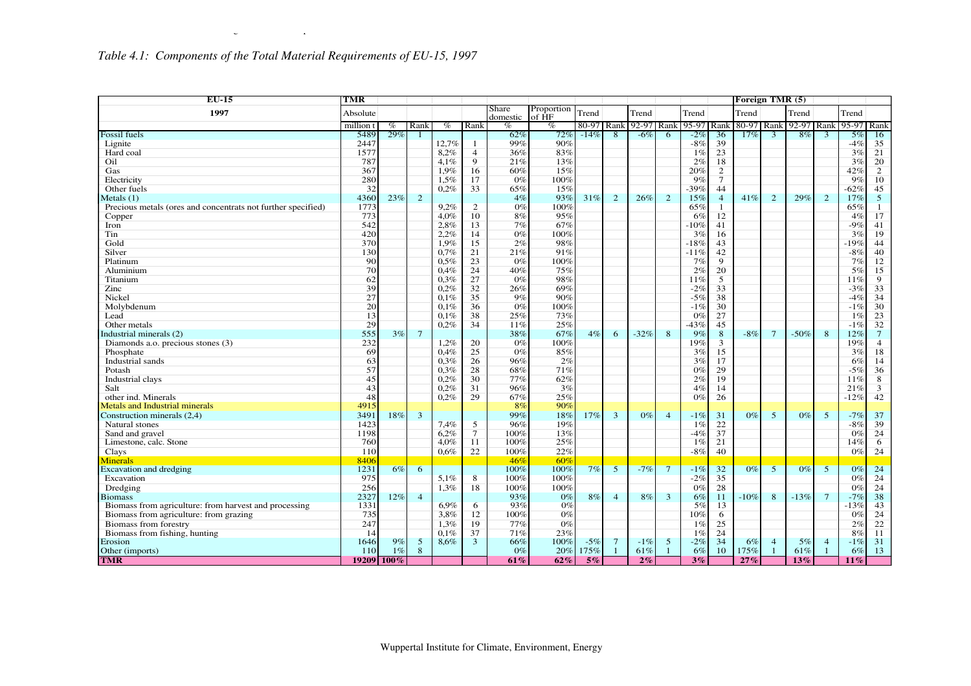$\phi$  produce the set of  $\mathbf{r}$ 

| $EU-15$                                                      | <b>TMR</b>      |            |                 |       |                   |                   |                     |            |                | Foreign TMR (5) |                |        |                   |            |                 |            |                |        |                 |
|--------------------------------------------------------------|-----------------|------------|-----------------|-------|-------------------|-------------------|---------------------|------------|----------------|-----------------|----------------|--------|-------------------|------------|-----------------|------------|----------------|--------|-----------------|
| 1997                                                         | Absolute        |            |                 |       |                   | Share<br>domestic | Proportion<br>of HF | Trend      |                | Trend           |                | Trend  |                   | Trend      |                 | Trend      |                | Trend  |                 |
|                                                              | million         | $\%$       | Rank            | $\%$  | Rank              | %                 | %                   | 80-97 Rank |                | 92-97           | Rank           | 95-97  | <b>Rank</b>       | 80-97 Rank |                 | 92-97 Rank |                | 95-97  | Rank            |
| <b>Fossil</b> fuels                                          | 5489            | 29%        | -1              |       |                   | 62%               | 72%                 | $-14%$     | 8              | $-6%$           | 6              | $-2%$  | 36                | 17%        | 3               | 8%         | 3              | 5%     | 16              |
| Lignite                                                      | 2447            |            |                 | 12.7% |                   | 99%               | 90%                 |            |                |                 |                | $-8%$  | 39                |            |                 |            |                | -4%    | 35              |
| Hard coal                                                    | 1577            |            |                 | 8,2%  | $\overline{4}$    | 36%               | 83%                 |            |                |                 |                | 1%     | $\overline{23}$   |            |                 |            |                | 3%     | $\overline{21}$ |
| Oil                                                          | 787             |            |                 | 4.1%  | $\overline{9}$    | 21%               | 13%                 |            |                |                 |                | 2%     | 18                |            |                 |            |                | 3%     | $\overline{20}$ |
| Gas                                                          | 367             |            |                 | 1.9%  | 16                | 60%               | 15%                 |            |                |                 |                | 20%    | $\overline{2}$    |            |                 |            |                | 42%    | $\overline{2}$  |
| Electricity                                                  | 280             |            |                 | 1.5%  | 17                | 0%                | 100%                |            |                |                 |                | 9%     | $\overline{\tau}$ |            |                 |            |                | 9%     | 10              |
| Other fuels                                                  | 32              |            |                 | 0.2%  | 33                | 65%               | 15%                 |            |                |                 |                | -39%   | 44                |            |                 |            |                | $-62%$ | 45              |
| Metals $(1)$                                                 | 4360            | 23%        | $\overline{2}$  |       |                   | 4%                | 93%                 | 31%        | $\mathcal{D}$  | 26%             | $\overline{2}$ | 15%    | $\overline{4}$    | 41%        | $\overline{2}$  | 29%        | $\overline{2}$ | 17%    | 5               |
| Precious metals (ores and concentrats not further specified) | 1773            |            |                 | 9,2%  | $\overline{2}$    | 0%                | 100%                |            |                |                 |                | 65%    |                   |            |                 |            |                | 65%    | $\mathbf{1}$    |
| Copper                                                       | 773             |            |                 | 4.0%  | $\overline{10}$   | 8%                | 95%                 |            |                |                 |                | 6%     | 12                |            |                 |            |                | 4%     | $\overline{17}$ |
| Iron                                                         | 542             |            |                 | 2.8%  | 13                | 7%                | 67%                 |            |                |                 |                | $-10%$ | 41                |            |                 |            |                | $-9%$  | 41              |
| Tin                                                          | 420             |            |                 | 2,2%  | 14                | 0%                | 100%                |            |                |                 |                | 3%     | 16                |            |                 |            |                | 3%     | 19              |
| Gold                                                         | 370             |            |                 | 1,9%  | $\overline{15}$   | $\overline{2\%}$  | 98%                 |            |                |                 |                | $-18%$ | 43                |            |                 |            |                | $-19%$ | 44              |
| Silver                                                       | 130             |            |                 | 0.7%  | $\overline{21}$   | 21%               | 91%                 |            |                |                 |                | $-11%$ | 42                |            |                 |            |                | $-8%$  | 40              |
| Platinum                                                     | 90              |            |                 | 0.5%  | $\overline{23}$   | 0%                | 100%                |            |                |                 |                | 7%     | $\overline{9}$    |            |                 |            |                | 7%     | 12              |
| Aluminium                                                    | $\overline{70}$ |            |                 | 0.4%  | $\overline{24}$   | 40%               | 75%                 |            |                |                 |                | 2%     | 20                |            |                 |            |                | 5%     | $\overline{15}$ |
| Titanium                                                     | 62              |            |                 | 0.3%  | 27                | 0%                | 98%                 |            |                |                 |                | 11%    | $\mathcal{F}$     |            |                 |            |                | 11%    | 9               |
| Zinc                                                         | 39              |            |                 | 0.2%  | 32                | 26%               | 69%                 |            |                |                 |                | $-2%$  | 33                |            |                 |            |                | $-3%$  | 33              |
| Nickel                                                       | $\overline{27}$ |            |                 | 0.1%  | 35                | 9%                | 90%                 |            |                |                 |                | $-5%$  | 38                |            |                 |            |                | $-4%$  | 34              |
| Molvbdenum                                                   | $\overline{20}$ |            |                 | 0.1%  | $\overline{36}$   | 0%                | 100%                |            |                |                 |                | $-1%$  | $\overline{30}$   |            |                 |            |                | $-1%$  | $\overline{30}$ |
| Lead                                                         | 13              |            |                 | 0.1%  | $\overline{38}$   | 25%               | 73%                 |            |                |                 |                | 0%     | 27                |            |                 |            |                | 1%     | $\overline{23}$ |
| Other metals                                                 | $\overline{29}$ |            |                 | 0.2%  | 34                | 11%               | 25%                 |            |                |                 |                | $-43%$ | 45                |            |                 |            |                | $-1%$  | $\overline{32}$ |
| Industrial minerals (2)                                      | 555             | 3%         | $7\phantom{.0}$ |       |                   | 38%               | 67%                 | 4%         | 6              | $-32%$          | 8              | 9%     | 8                 | $-8%$      | $7\phantom{.0}$ | $-50%$     | 8              | 12%    | $\overline{7}$  |
| Diamonds a.o. precious stones (3)                            | 232             |            |                 | 1,2%  | 20                | 0%                | 100%                |            |                |                 |                | 19%    | $\overline{3}$    |            |                 |            |                | 19%    | $\overline{4}$  |
| Phosphate                                                    | 69              |            |                 | 0.4%  | $\overline{25}$   | 0%                | 85%                 |            |                |                 |                | 3%     | $\overline{15}$   |            |                 |            |                | 3%     | 18              |
| Industrial sands                                             | 63              |            |                 | 0.3%  | 26                | 96%               | 2%                  |            |                |                 |                | 3%     | 17                |            |                 |            |                | 6%     | 14              |
| Potash                                                       | $\overline{57}$ |            |                 | 0.3%  | $\overline{28}$   | 68%               | 71%                 |            |                |                 |                | 0%     | $\overline{29}$   |            |                 |            |                | $-5%$  | 36              |
| <b>Industrial clays</b>                                      | 45              |            |                 | 0.2%  | $\overline{30}$   | 77%               | 62%                 |            |                |                 |                | 2%     | 19                |            |                 |            |                | 11%    | 8               |
| Salt                                                         | 43              |            |                 | 0.2%  | $\overline{31}$   | 96%               | 3%                  |            |                |                 |                | 4%     | 14                |            |                 |            |                | 21%    | $\overline{3}$  |
| other ind. Minerals                                          | 48              |            |                 | 0.2%  | 29                | 67%               | 25%                 |            |                |                 |                | $0\%$  | 26                |            |                 |            |                | $-12%$ | $\overline{42}$ |
| Metals and Industrial minerals                               | 4915            |            |                 |       |                   | 8%                | 90%                 |            |                |                 |                |        |                   |            |                 |            |                |        |                 |
| Construction minerals (2,4)                                  | 3491            | 18%        | $\overline{3}$  |       |                   | 99%               | 18%                 | 17%        | 3              | 0%              | $\overline{4}$ | $-1%$  | 31                | $0\%$      | .5              | 0%         | .5             | $-7%$  | 37              |
| Natural stones                                               | 1423            |            |                 | 7,4%  | $\overline{5}$    | 96%               | 19%                 |            |                |                 |                | 1%     | 22                |            |                 |            |                | $-8%$  | 39              |
| Sand and gravel                                              | 1198            |            |                 | 6.2%  | $\overline{\tau}$ | 100%              | 13%                 |            |                |                 |                | $-4%$  | $\overline{37}$   |            |                 |            |                | 0%     | $\overline{24}$ |
| Limestone, calc. Stone                                       | 760             |            |                 | 4.0%  | 11                | 100%              | 25%                 |            |                |                 |                | 1%     | 21                |            |                 |            |                | 14%    | 6               |
| Clavs                                                        | 110             |            |                 | 0.6%  | 22                | 100%              | 22%                 |            |                |                 |                | $-8%$  | 40                |            |                 |            |                | 0%     | 24              |
| <b>Minerals</b>                                              | 8406            |            |                 |       |                   | 46%               | 60%                 |            |                |                 |                |        |                   |            |                 |            |                |        |                 |
| <b>Excavation</b> and dredging                               | 1231            | 6%         | 6               |       |                   | 100%              | 100%                | 7%         | 5              | $-7%$           | $\tau$         | $-1%$  | 32                | $0\%$      | 5               | $0\%$      | 5              | $0\%$  | 24              |
| Excavation                                                   | 975             |            |                 | 5,1%  | 8                 | 100%              | 100%                |            |                |                 |                | $-2%$  | 35                |            |                 |            |                | 0%     | 24              |
| Dredging                                                     | 256             |            |                 | 1.3%  | 18                | 100%              | 100%                |            |                |                 |                | 0%     | 28                |            |                 |            |                | 0%     | 24              |
| <b>Biomass</b>                                               | 2327<br>1331    | 12%        | $\overline{4}$  |       |                   | 93%               | $0\%$               | 8%         | $\overline{4}$ | 8%              | 3              | 6%     | <sup>11</sup>     | $-10%$     | 8               | $-13%$     | $\overline{7}$ | $-7%$  | 38              |
| Biomass from agriculture: from harvest and processing        |                 |            |                 | 6.9%  | 6                 | 93%               | 0%                  |            |                |                 |                | 5%     | 13                |            |                 |            |                | $-13%$ | 43              |
| Biomass from agriculture: from grazing                       |                 |            |                 | 3,8%  | $\overline{12}$   | 100%              | 0%                  |            |                |                 |                | 10%    | 6                 |            |                 |            |                | 0%     | $\overline{24}$ |
| <b>Biomass from forestry</b>                                 |                 |            |                 | 1,3%  | 19                | 77%               | 0%                  |            |                |                 |                | 1%     | $\overline{25}$   |            |                 |            |                | 2%     | $\overline{22}$ |
| Biomass from fishing, hunting                                |                 |            |                 | 0.1%  | $\overline{37}$   | 71%               | 23%                 |            |                |                 |                | 1%     | 24                |            |                 |            |                | 8%     | 11              |
| Erosion                                                      | 1646            | 9%         | 5               | 8,6%  | 3                 | 66%               | 100%                | $-5%$      |                | $-1%$           | 5              | $-2%$  | 34                | 6%         | $\overline{4}$  | 5%         | $\overline{4}$ | $-1\%$ | 31              |
| Other (imports)                                              | 110             | $1\%$      | 8               |       |                   | $0\%$             | 20%                 | 175%       |                | 61%             | $\overline{1}$ | 6%     | 10                | 175%       |                 | 61%        |                | 6%     | 13              |
| <b>TMR</b>                                                   |                 | 19209 100% |                 |       |                   | 61%               | 62%                 | 5%         |                | 2%              |                | 3%     |                   | 27%        |                 | 13%        |                | 11%    |                 |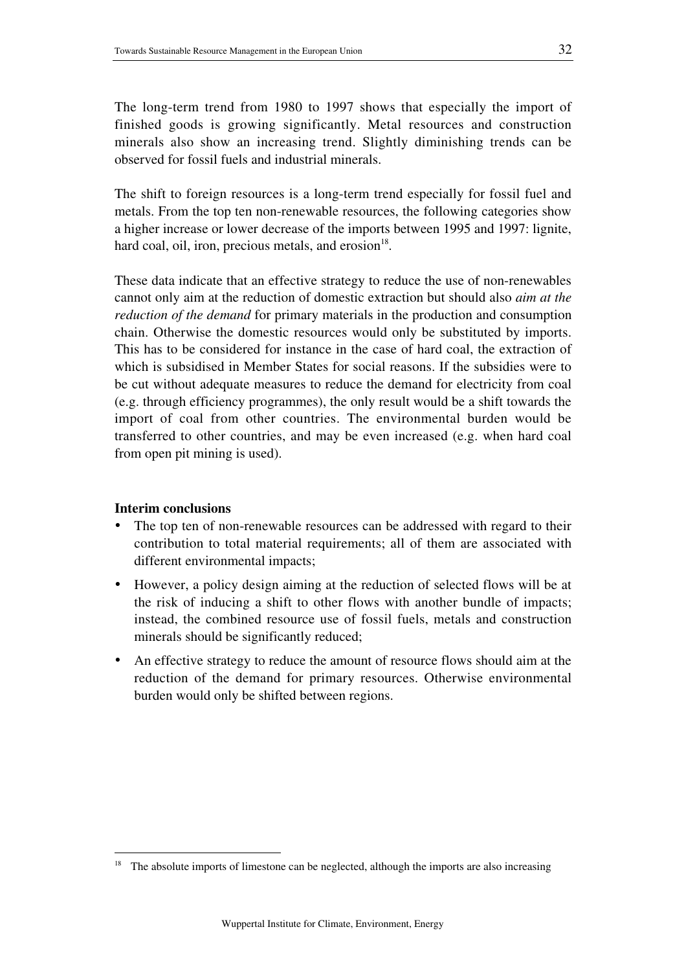The long-term trend from 1980 to 1997 shows that especially the import of finished goods is growing significantly. Metal resources and construction minerals also show an increasing trend. Slightly diminishing trends can be observed for fossil fuels and industrial minerals.

The shift to foreign resources is a long-term trend especially for fossil fuel and metals. From the top ten non-renewable resources, the following categories show a higher increase or lower decrease of the imports between 1995 and 1997: lignite, hard coal, oil, iron, precious metals, and erosion $18$ .

These data indicate that an effective strategy to reduce the use of non-renewables cannot only aim at the reduction of domestic extraction but should also *aim at the reduction of the demand* for primary materials in the production and consumption chain. Otherwise the domestic resources would only be substituted by imports. This has to be considered for instance in the case of hard coal, the extraction of which is subsidised in Member States for social reasons. If the subsidies were to be cut without adequate measures to reduce the demand for electricity from coal (e.g. through efficiency programmes), the only result would be a shift towards the import of coal from other countries. The environmental burden would be transferred to other countries, and may be even increased (e.g. when hard coal from open pit mining is used).

#### **Interim conclusions**

- The top ten of non-renewable resources can be addressed with regard to their contribution to total material requirements; all of them are associated with different environmental impacts;
- However, a policy design aiming at the reduction of selected flows will be at the risk of inducing a shift to other flows with another bundle of impacts; instead, the combined resource use of fossil fuels, metals and construction minerals should be significantly reduced;
- An effective strategy to reduce the amount of resource flows should aim at the reduction of the demand for primary resources. Otherwise environmental burden would only be shifted between regions.

 <sup>18</sup> The absolute imports of limestone can be neglected, although the imports are also increasing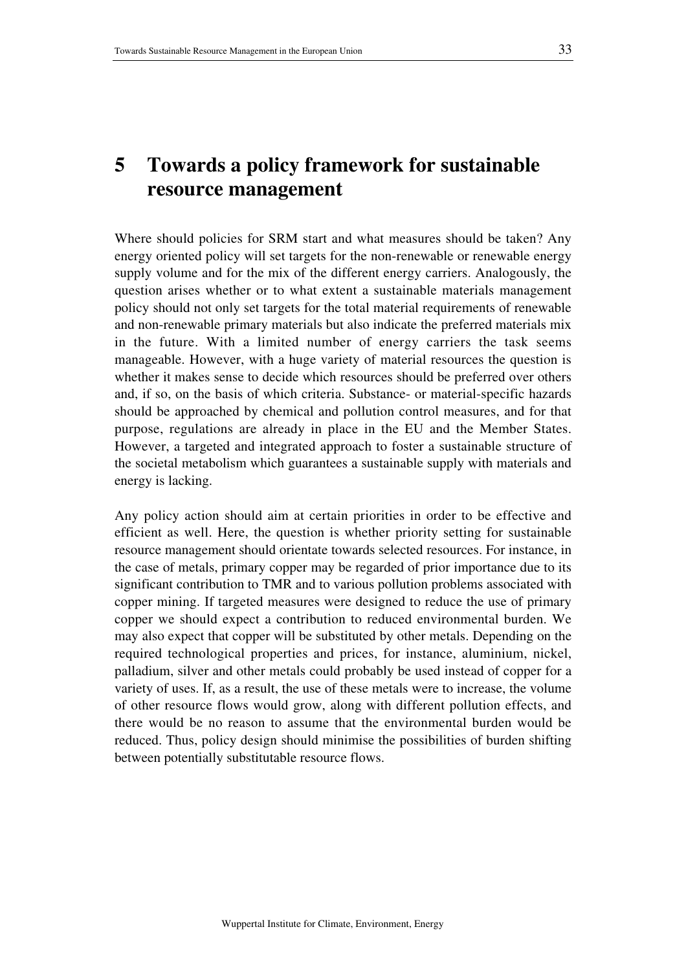# **5 Towards a policy framework for sustainable resource management**

Where should policies for SRM start and what measures should be taken? Any energy oriented policy will set targets for the non-renewable or renewable energy supply volume and for the mix of the different energy carriers. Analogously, the question arises whether or to what extent a sustainable materials management policy should not only set targets for the total material requirements of renewable and non-renewable primary materials but also indicate the preferred materials mix in the future. With a limited number of energy carriers the task seems manageable. However, with a huge variety of material resources the question is whether it makes sense to decide which resources should be preferred over others and, if so, on the basis of which criteria. Substance- or material-specific hazards should be approached by chemical and pollution control measures, and for that purpose, regulations are already in place in the EU and the Member States. However, a targeted and integrated approach to foster a sustainable structure of the societal metabolism which guarantees a sustainable supply with materials and energy is lacking.

Any policy action should aim at certain priorities in order to be effective and efficient as well. Here, the question is whether priority setting for sustainable resource management should orientate towards selected resources. For instance, in the case of metals, primary copper may be regarded of prior importance due to its significant contribution to TMR and to various pollution problems associated with copper mining. If targeted measures were designed to reduce the use of primary copper we should expect a contribution to reduced environmental burden. We may also expect that copper will be substituted by other metals. Depending on the required technological properties and prices, for instance, aluminium, nickel, palladium, silver and other metals could probably be used instead of copper for a variety of uses. If, as a result, the use of these metals were to increase, the volume of other resource flows would grow, along with different pollution effects, and there would be no reason to assume that the environmental burden would be reduced. Thus, policy design should minimise the possibilities of burden shifting between potentially substitutable resource flows.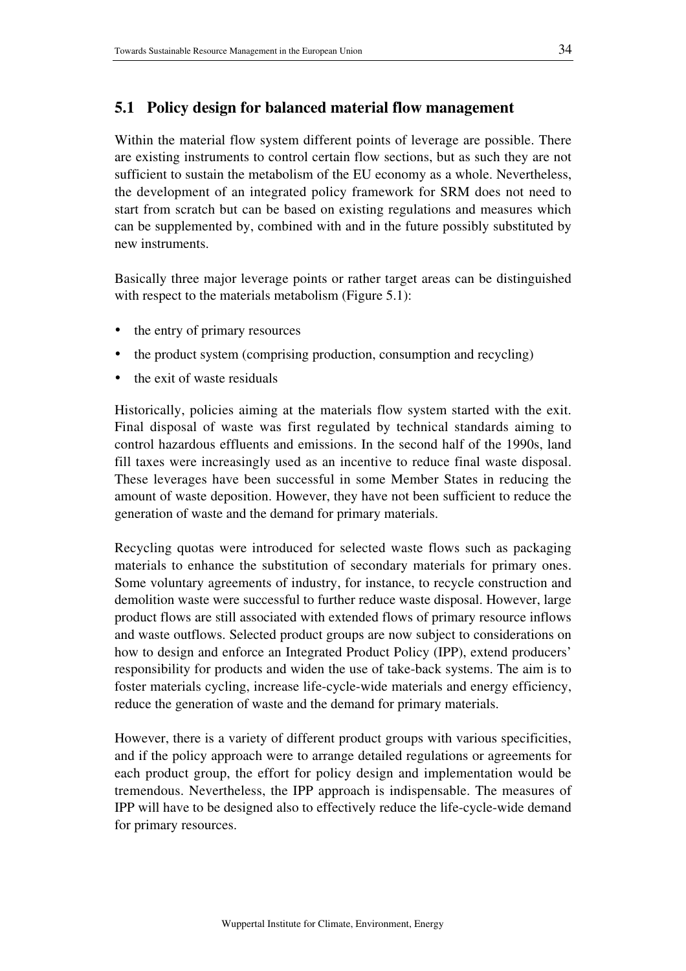# **5.1 Policy design for balanced material flow management**

Within the material flow system different points of leverage are possible. There are existing instruments to control certain flow sections, but as such they are not sufficient to sustain the metabolism of the EU economy as a whole. Nevertheless, the development of an integrated policy framework for SRM does not need to start from scratch but can be based on existing regulations and measures which can be supplemented by, combined with and in the future possibly substituted by new instruments.

Basically three major leverage points or rather target areas can be distinguished with respect to the materials metabolism (Figure 5.1):

- the entry of primary resources
- the product system (comprising production, consumption and recycling)
- the exit of waste residuals

Historically, policies aiming at the materials flow system started with the exit. Final disposal of waste was first regulated by technical standards aiming to control hazardous effluents and emissions. In the second half of the 1990s, land fill taxes were increasingly used as an incentive to reduce final waste disposal. These leverages have been successful in some Member States in reducing the amount of waste deposition. However, they have not been sufficient to reduce the generation of waste and the demand for primary materials.

Recycling quotas were introduced for selected waste flows such as packaging materials to enhance the substitution of secondary materials for primary ones. Some voluntary agreements of industry, for instance, to recycle construction and demolition waste were successful to further reduce waste disposal. However, large product flows are still associated with extended flows of primary resource inflows and waste outflows. Selected product groups are now subject to considerations on how to design and enforce an Integrated Product Policy (IPP), extend producers' responsibility for products and widen the use of take-back systems. The aim is to foster materials cycling, increase life-cycle-wide materials and energy efficiency, reduce the generation of waste and the demand for primary materials.

However, there is a variety of different product groups with various specificities, and if the policy approach were to arrange detailed regulations or agreements for each product group, the effort for policy design and implementation would be tremendous. Nevertheless, the IPP approach is indispensable. The measures of IPP will have to be designed also to effectively reduce the life-cycle-wide demand for primary resources.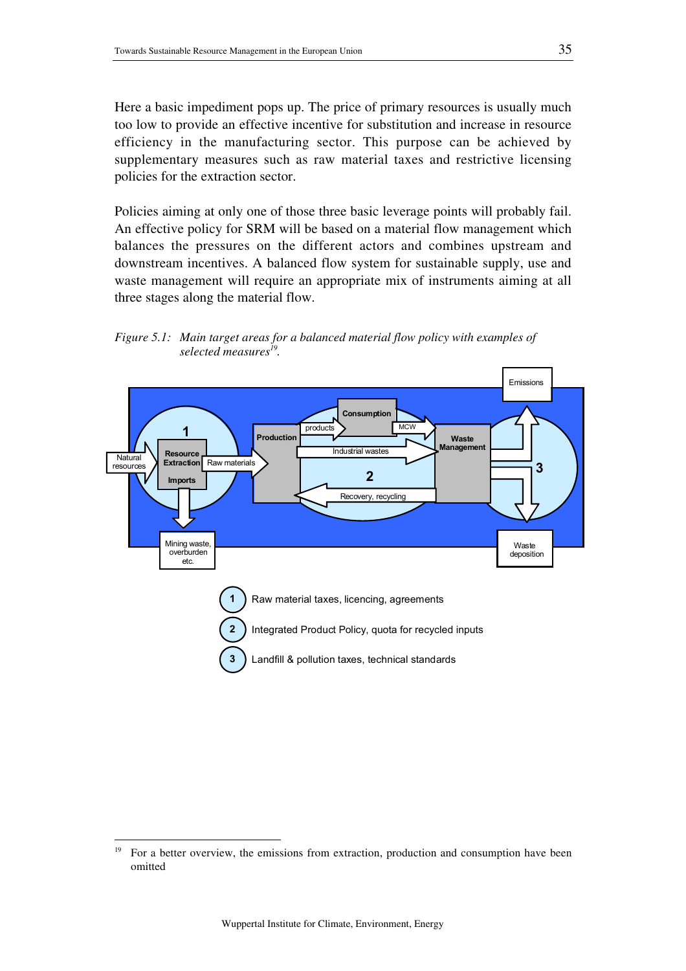Here a basic impediment pops up. The price of primary resources is usually much too low to provide an effective incentive for substitution and increase in resource efficiency in the manufacturing sector. This purpose can be achieved by supplementary measures such as raw material taxes and restrictive licensing policies for the extraction sector.

Policies aiming at only one of those three basic leverage points will probably fail. An effective policy for SRM will be based on a material flow management which balances the pressures on the different actors and combines upstream and downstream incentives. A balanced flow system for sustainable supply, use and waste management will require an appropriate mix of instruments aiming at all three stages along the material flow.





<sup>&</sup>lt;sup>19</sup> For a better overview, the emissions from extraction, production and consumption have been omitted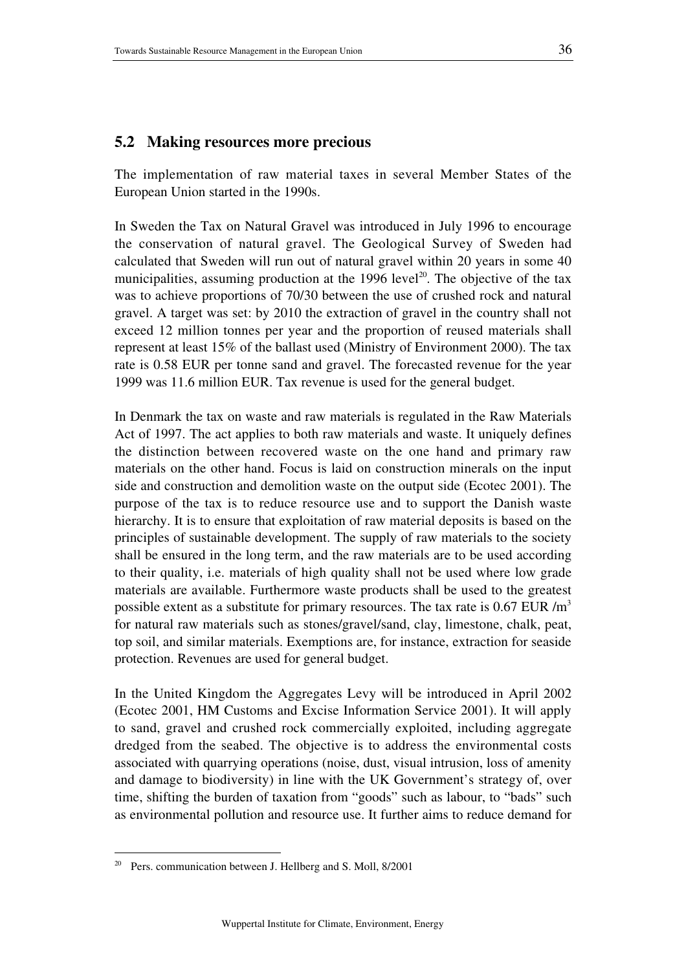### **5.2 Making resources more precious**

The implementation of raw material taxes in several Member States of the European Union started in the 1990s.

In Sweden the Tax on Natural Gravel was introduced in July 1996 to encourage the conservation of natural gravel. The Geological Survey of Sweden had calculated that Sweden will run out of natural gravel within 20 years in some 40 municipalities, assuming production at the 1996 level<sup>20</sup>. The objective of the tax was to achieve proportions of 70/30 between the use of crushed rock and natural gravel. A target was set: by 2010 the extraction of gravel in the country shall not exceed 12 million tonnes per year and the proportion of reused materials shall represent at least 15% of the ballast used (Ministry of Environment 2000). The tax rate is 0.58 EUR per tonne sand and gravel. The forecasted revenue for the year 1999 was 11.6 million EUR. Tax revenue is used for the general budget.

In Denmark the tax on waste and raw materials is regulated in the Raw Materials Act of 1997. The act applies to both raw materials and waste. It uniquely defines the distinction between recovered waste on the one hand and primary raw materials on the other hand. Focus is laid on construction minerals on the input side and construction and demolition waste on the output side (Ecotec 2001). The purpose of the tax is to reduce resource use and to support the Danish waste hierarchy. It is to ensure that exploitation of raw material deposits is based on the principles of sustainable development. The supply of raw materials to the society shall be ensured in the long term, and the raw materials are to be used according to their quality, i.e. materials of high quality shall not be used where low grade materials are available. Furthermore waste products shall be used to the greatest possible extent as a substitute for primary resources. The tax rate is  $0.67$  EUR /m<sup>3</sup> for natural raw materials such as stones/gravel/sand, clay, limestone, chalk, peat, top soil, and similar materials. Exemptions are, for instance, extraction for seaside protection. Revenues are used for general budget.

In the United Kingdom the Aggregates Levy will be introduced in April 2002 (Ecotec 2001, HM Customs and Excise Information Service 2001). It will apply to sand, gravel and crushed rock commercially exploited, including aggregate dredged from the seabed. The objective is to address the environmental costs associated with quarrying operations (noise, dust, visual intrusion, loss of amenity and damage to biodiversity) in line with the UK Government's strategy of, over time, shifting the burden of taxation from "goods" such as labour, to "bads" such as environmental pollution and resource use. It further aims to reduce demand for

 <sup>20</sup> Pers. communication between J. Hellberg and S. Moll, 8/2001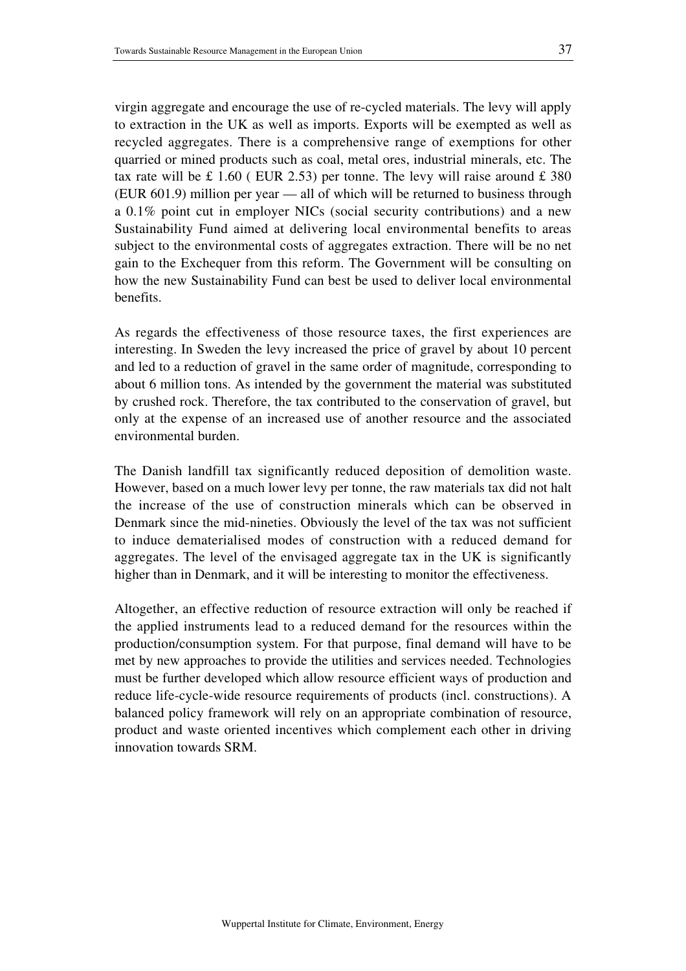virgin aggregate and encourage the use of re-cycled materials. The levy will apply to extraction in the UK as well as imports. Exports will be exempted as well as recycled aggregates. There is a comprehensive range of exemptions for other quarried or mined products such as coal, metal ores, industrial minerals, etc. The tax rate will be £ 1.60 (EUR 2.53) per tonne. The levy will raise around £ 380 (EUR 601.9) million per year — all of which will be returned to business through a 0.1% point cut in employer NICs (social security contributions) and a new Sustainability Fund aimed at delivering local environmental benefits to areas subject to the environmental costs of aggregates extraction. There will be no net gain to the Exchequer from this reform. The Government will be consulting on how the new Sustainability Fund can best be used to deliver local environmental benefits.

As regards the effectiveness of those resource taxes, the first experiences are interesting. In Sweden the levy increased the price of gravel by about 10 percent and led to a reduction of gravel in the same order of magnitude, corresponding to about 6 million tons. As intended by the government the material was substituted by crushed rock. Therefore, the tax contributed to the conservation of gravel, but only at the expense of an increased use of another resource and the associated environmental burden.

The Danish landfill tax significantly reduced deposition of demolition waste. However, based on a much lower levy per tonne, the raw materials tax did not halt the increase of the use of construction minerals which can be observed in Denmark since the mid-nineties. Obviously the level of the tax was not sufficient to induce dematerialised modes of construction with a reduced demand for aggregates. The level of the envisaged aggregate tax in the UK is significantly higher than in Denmark, and it will be interesting to monitor the effectiveness.

Altogether, an effective reduction of resource extraction will only be reached if the applied instruments lead to a reduced demand for the resources within the production/consumption system. For that purpose, final demand will have to be met by new approaches to provide the utilities and services needed. Technologies must be further developed which allow resource efficient ways of production and reduce life-cycle-wide resource requirements of products (incl. constructions). A balanced policy framework will rely on an appropriate combination of resource, product and waste oriented incentives which complement each other in driving innovation towards SRM.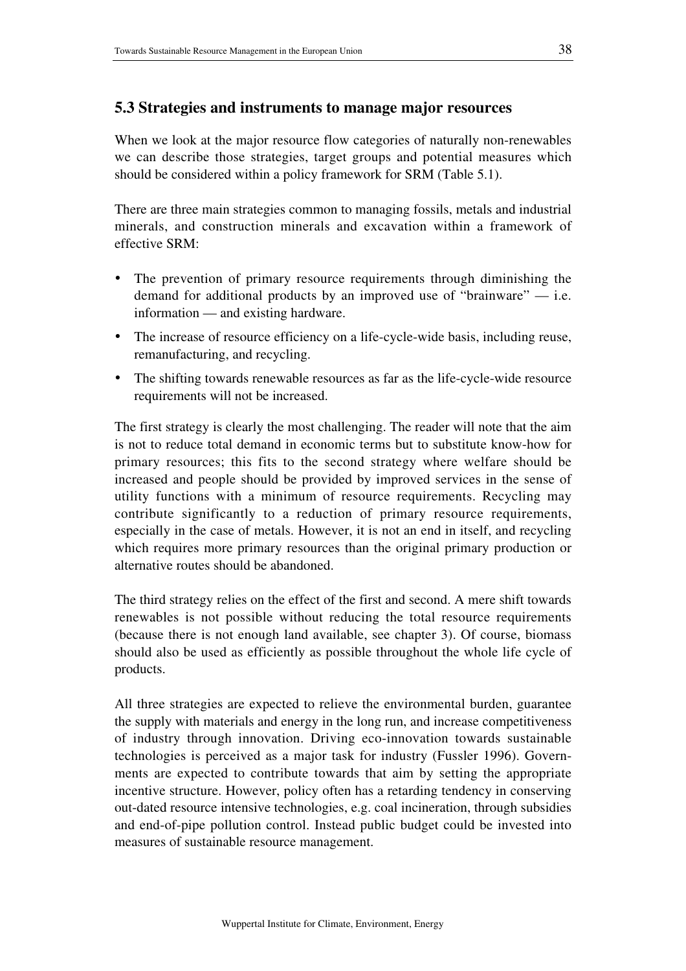# **5.3 Strategies and instruments to manage major resources**

When we look at the major resource flow categories of naturally non-renewables we can describe those strategies, target groups and potential measures which should be considered within a policy framework for SRM (Table 5.1).

There are three main strategies common to managing fossils, metals and industrial minerals, and construction minerals and excavation within a framework of effective SRM:

- The prevention of primary resource requirements through diminishing the demand for additional products by an improved use of "brainware" — i.e. information — and existing hardware.
- The increase of resource efficiency on a life-cycle-wide basis, including reuse, remanufacturing, and recycling.
- The shifting towards renewable resources as far as the life-cycle-wide resource requirements will not be increased.

The first strategy is clearly the most challenging. The reader will note that the aim is not to reduce total demand in economic terms but to substitute know-how for primary resources; this fits to the second strategy where welfare should be increased and people should be provided by improved services in the sense of utility functions with a minimum of resource requirements. Recycling may contribute significantly to a reduction of primary resource requirements, especially in the case of metals. However, it is not an end in itself, and recycling which requires more primary resources than the original primary production or alternative routes should be abandoned.

The third strategy relies on the effect of the first and second. A mere shift towards renewables is not possible without reducing the total resource requirements (because there is not enough land available, see chapter 3). Of course, biomass should also be used as efficiently as possible throughout the whole life cycle of products.

All three strategies are expected to relieve the environmental burden, guarantee the supply with materials and energy in the long run, and increase competitiveness of industry through innovation. Driving eco-innovation towards sustainable technologies is perceived as a major task for industry (Fussler 1996). Governments are expected to contribute towards that aim by setting the appropriate incentive structure. However, policy often has a retarding tendency in conserving out-dated resource intensive technologies, e.g. coal incineration, through subsidies and end-of-pipe pollution control. Instead public budget could be invested into measures of sustainable resource management.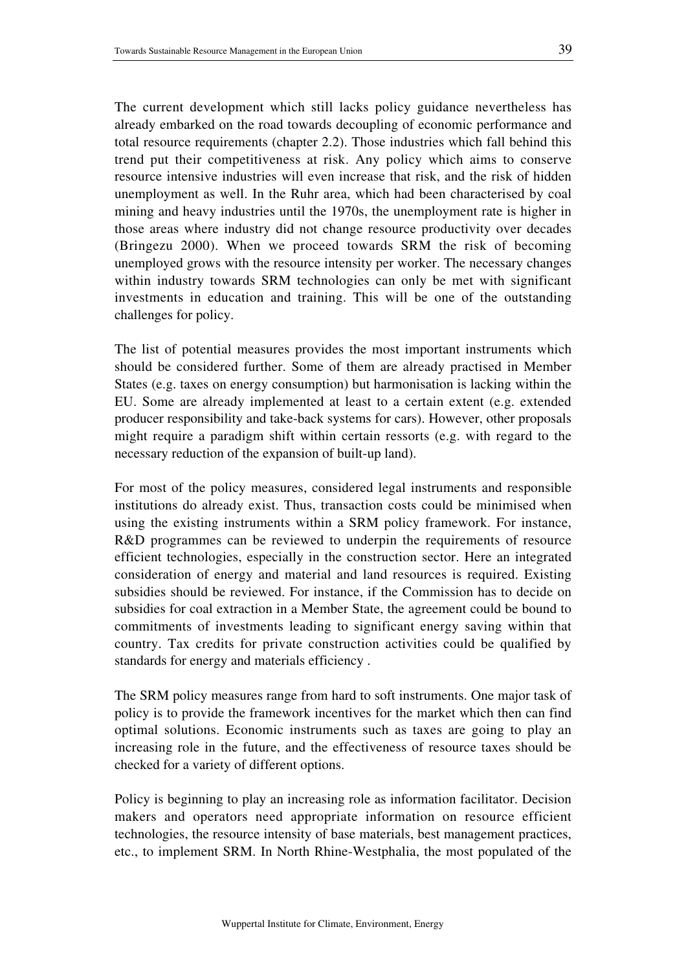The current development which still lacks policy guidance nevertheless has already embarked on the road towards decoupling of economic performance and total resource requirements (chapter 2.2). Those industries which fall behind this trend put their competitiveness at risk. Any policy which aims to conserve resource intensive industries will even increase that risk, and the risk of hidden unemployment as well. In the Ruhr area, which had been characterised by coal mining and heavy industries until the 1970s, the unemployment rate is higher in those areas where industry did not change resource productivity over decades (Bringezu 2000). When we proceed towards SRM the risk of becoming unemployed grows with the resource intensity per worker. The necessary changes within industry towards SRM technologies can only be met with significant investments in education and training. This will be one of the outstanding challenges for policy.

The list of potential measures provides the most important instruments which should be considered further. Some of them are already practised in Member States (e.g. taxes on energy consumption) but harmonisation is lacking within the EU. Some are already implemented at least to a certain extent (e.g. extended producer responsibility and take-back systems for cars). However, other proposals might require a paradigm shift within certain ressorts (e.g. with regard to the necessary reduction of the expansion of built-up land).

For most of the policy measures, considered legal instruments and responsible institutions do already exist. Thus, transaction costs could be minimised when using the existing instruments within a SRM policy framework. For instance, R&D programmes can be reviewed to underpin the requirements of resource efficient technologies, especially in the construction sector. Here an integrated consideration of energy and material and land resources is required. Existing subsidies should be reviewed. For instance, if the Commission has to decide on subsidies for coal extraction in a Member State, the agreement could be bound to commitments of investments leading to significant energy saving within that country. Tax credits for private construction activities could be qualified by standards for energy and materials efficiency .

The SRM policy measures range from hard to soft instruments. One major task of policy is to provide the framework incentives for the market which then can find optimal solutions. Economic instruments such as taxes are going to play an increasing role in the future, and the effectiveness of resource taxes should be checked for a variety of different options.

Policy is beginning to play an increasing role as information facilitator. Decision makers and operators need appropriate information on resource efficient technologies, the resource intensity of base materials, best management practices, etc., to implement SRM. In North Rhine-Westphalia, the most populated of the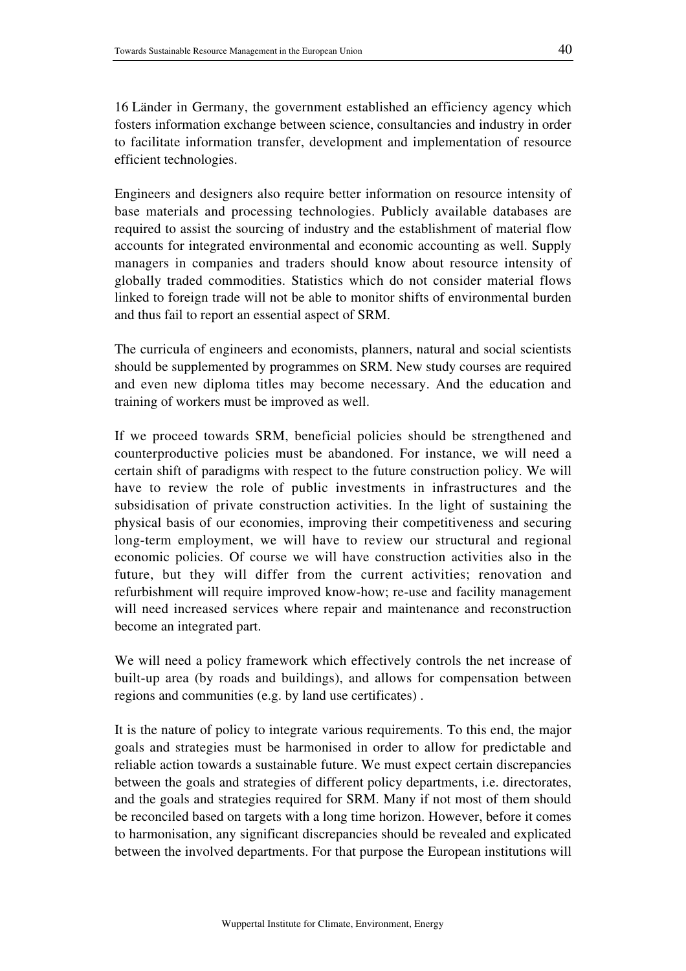16 Länder in Germany, the government established an efficiency agency which fosters information exchange between science, consultancies and industry in order to facilitate information transfer, development and implementation of resource efficient technologies.

Engineers and designers also require better information on resource intensity of base materials and processing technologies. Publicly available databases are required to assist the sourcing of industry and the establishment of material flow accounts for integrated environmental and economic accounting as well. Supply managers in companies and traders should know about resource intensity of globally traded commodities. Statistics which do not consider material flows linked to foreign trade will not be able to monitor shifts of environmental burden and thus fail to report an essential aspect of SRM.

The curricula of engineers and economists, planners, natural and social scientists should be supplemented by programmes on SRM. New study courses are required and even new diploma titles may become necessary. And the education and training of workers must be improved as well.

If we proceed towards SRM, beneficial policies should be strengthened and counterproductive policies must be abandoned. For instance, we will need a certain shift of paradigms with respect to the future construction policy. We will have to review the role of public investments in infrastructures and the subsidisation of private construction activities. In the light of sustaining the physical basis of our economies, improving their competitiveness and securing long-term employment, we will have to review our structural and regional economic policies. Of course we will have construction activities also in the future, but they will differ from the current activities; renovation and refurbishment will require improved know-how; re-use and facility management will need increased services where repair and maintenance and reconstruction become an integrated part.

We will need a policy framework which effectively controls the net increase of built-up area (by roads and buildings), and allows for compensation between regions and communities (e.g. by land use certificates) .

It is the nature of policy to integrate various requirements. To this end, the major goals and strategies must be harmonised in order to allow for predictable and reliable action towards a sustainable future. We must expect certain discrepancies between the goals and strategies of different policy departments, i.e. directorates, and the goals and strategies required for SRM. Many if not most of them should be reconciled based on targets with a long time horizon. However, before it comes to harmonisation, any significant discrepancies should be revealed and explicated between the involved departments. For that purpose the European institutions will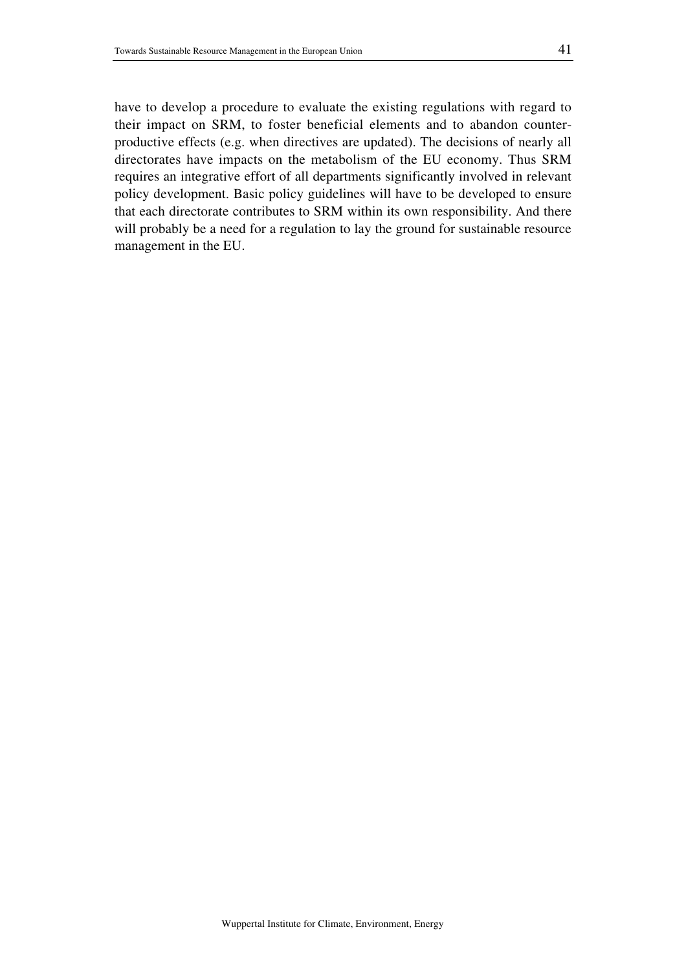have to develop a procedure to evaluate the existing regulations with regard to their impact on SRM, to foster beneficial elements and to abandon counterproductive effects (e.g. when directives are updated). The decisions of nearly all directorates have impacts on the metabolism of the EU economy. Thus SRM requires an integrative effort of all departments significantly involved in relevant policy development. Basic policy guidelines will have to be developed to ensure that each directorate contributes to SRM within its own responsibility. And there will probably be a need for a regulation to lay the ground for sustainable resource management in the EU.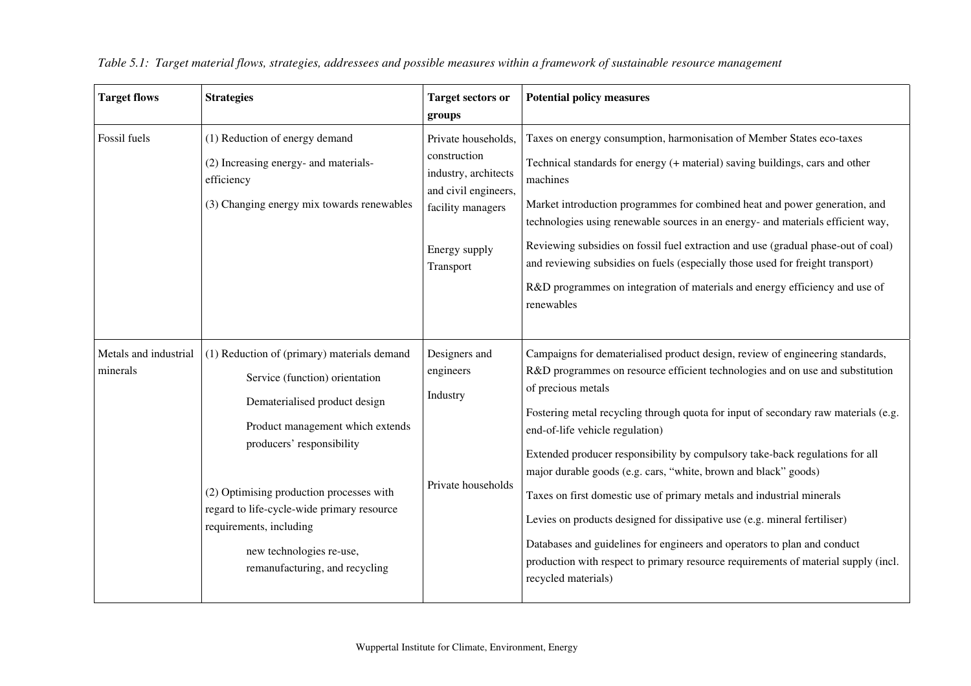| <b>Target flows</b>               | <b>Strategies</b>                                                                                                                                                                                                                                                                                                                                                  | <b>Target sectors or</b><br>groups                                                                                                     | <b>Potential policy measures</b>                                                                                                                                                                                                                                                                                                                                                                                                                                                                                                                                                                                                                                                                                                                                                                                |
|-----------------------------------|--------------------------------------------------------------------------------------------------------------------------------------------------------------------------------------------------------------------------------------------------------------------------------------------------------------------------------------------------------------------|----------------------------------------------------------------------------------------------------------------------------------------|-----------------------------------------------------------------------------------------------------------------------------------------------------------------------------------------------------------------------------------------------------------------------------------------------------------------------------------------------------------------------------------------------------------------------------------------------------------------------------------------------------------------------------------------------------------------------------------------------------------------------------------------------------------------------------------------------------------------------------------------------------------------------------------------------------------------|
| Fossil fuels                      | (1) Reduction of energy demand<br>(2) Increasing energy- and materials-<br>efficiency<br>(3) Changing energy mix towards renewables                                                                                                                                                                                                                                | Private households,<br>construction<br>industry, architects<br>and civil engineers,<br>facility managers<br>Energy supply<br>Transport | Taxes on energy consumption, harmonisation of Member States eco-taxes<br>Technical standards for energy (+ material) saving buildings, cars and other<br>machines<br>Market introduction programmes for combined heat and power generation, and<br>technologies using renewable sources in an energy- and materials efficient way,<br>Reviewing subsidies on fossil fuel extraction and use (gradual phase-out of coal)<br>and reviewing subsidies on fuels (especially those used for freight transport)<br>R&D programmes on integration of materials and energy efficiency and use of<br>renewables                                                                                                                                                                                                          |
| Metals and industrial<br>minerals | (1) Reduction of (primary) materials demand<br>Service (function) orientation<br>Dematerialised product design<br>Product management which extends<br>producers' responsibility<br>(2) Optimising production processes with<br>regard to life-cycle-wide primary resource<br>requirements, including<br>new technologies re-use,<br>remanufacturing, and recycling | Designers and<br>engineers<br>Industry<br>Private households                                                                           | Campaigns for dematerialised product design, review of engineering standards,<br>R&D programmes on resource efficient technologies and on use and substitution<br>of precious metals<br>Fostering metal recycling through quota for input of secondary raw materials (e.g.<br>end-of-life vehicle regulation)<br>Extended producer responsibility by compulsory take-back regulations for all<br>major durable goods (e.g. cars, "white, brown and black" goods)<br>Taxes on first domestic use of primary metals and industrial minerals<br>Levies on products designed for dissipative use (e.g. mineral fertiliser)<br>Databases and guidelines for engineers and operators to plan and conduct<br>production with respect to primary resource requirements of material supply (incl.<br>recycled materials) |

*Table 5.1: Target material flows, strategies, addressees and possible measures within a framework of sustainable resource management*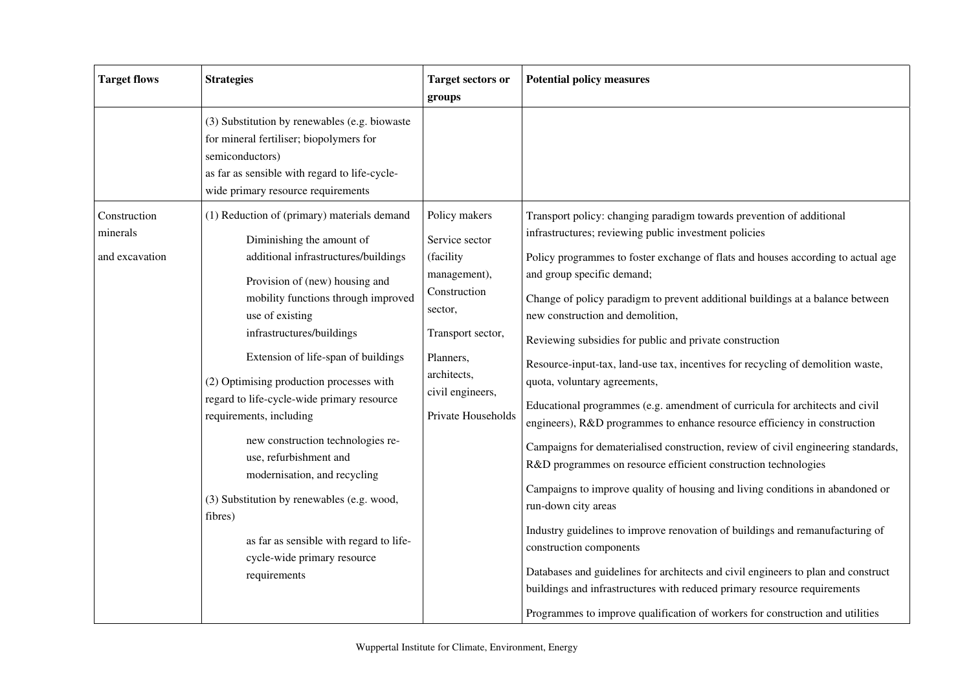| <b>Target flows</b>                        | <b>Strategies</b>                                                                                                                                                                                                                                                                                                                                                                                                                                                                                                                                                                                                                                       | <b>Target sectors or</b><br>groups                                                                                                                                                 | <b>Potential policy measures</b>                                                                                                                                                                                                                                                                                                                                                                                                                                                                                                                                                                                                                                                                                                                                                                                                                                                                                                                                                                                                                                                                                                                                                                                                                                                                                                              |
|--------------------------------------------|---------------------------------------------------------------------------------------------------------------------------------------------------------------------------------------------------------------------------------------------------------------------------------------------------------------------------------------------------------------------------------------------------------------------------------------------------------------------------------------------------------------------------------------------------------------------------------------------------------------------------------------------------------|------------------------------------------------------------------------------------------------------------------------------------------------------------------------------------|-----------------------------------------------------------------------------------------------------------------------------------------------------------------------------------------------------------------------------------------------------------------------------------------------------------------------------------------------------------------------------------------------------------------------------------------------------------------------------------------------------------------------------------------------------------------------------------------------------------------------------------------------------------------------------------------------------------------------------------------------------------------------------------------------------------------------------------------------------------------------------------------------------------------------------------------------------------------------------------------------------------------------------------------------------------------------------------------------------------------------------------------------------------------------------------------------------------------------------------------------------------------------------------------------------------------------------------------------|
|                                            | (3) Substitution by renewables (e.g. biowaste<br>for mineral fertiliser; biopolymers for<br>semiconductors)<br>as far as sensible with regard to life-cycle-<br>wide primary resource requirements                                                                                                                                                                                                                                                                                                                                                                                                                                                      |                                                                                                                                                                                    |                                                                                                                                                                                                                                                                                                                                                                                                                                                                                                                                                                                                                                                                                                                                                                                                                                                                                                                                                                                                                                                                                                                                                                                                                                                                                                                                               |
| Construction<br>minerals<br>and excavation | (1) Reduction of (primary) materials demand<br>Diminishing the amount of<br>additional infrastructures/buildings<br>Provision of (new) housing and<br>mobility functions through improved<br>use of existing<br>infrastructures/buildings<br>Extension of life-span of buildings<br>(2) Optimising production processes with<br>regard to life-cycle-wide primary resource<br>requirements, including<br>new construction technologies re-<br>use, refurbishment and<br>modernisation, and recycling<br>(3) Substitution by renewables (e.g. wood,<br>fibres)<br>as far as sensible with regard to life-<br>cycle-wide primary resource<br>requirements | Policy makers<br>Service sector<br>(facility<br>management),<br>Construction<br>sector,<br>Transport sector,<br>Planners,<br>architects,<br>civil engineers,<br>Private Households | Transport policy: changing paradigm towards prevention of additional<br>infrastructures; reviewing public investment policies<br>Policy programmes to foster exchange of flats and houses according to actual age<br>and group specific demand;<br>Change of policy paradigm to prevent additional buildings at a balance between<br>new construction and demolition,<br>Reviewing subsidies for public and private construction<br>Resource-input-tax, land-use tax, incentives for recycling of demolition waste,<br>quota, voluntary agreements,<br>Educational programmes (e.g. amendment of curricula for architects and civil<br>engineers), R&D programmes to enhance resource efficiency in construction<br>Campaigns for dematerialised construction, review of civil engineering standards,<br>R&D programmes on resource efficient construction technologies<br>Campaigns to improve quality of housing and living conditions in abandoned or<br>run-down city areas<br>Industry guidelines to improve renovation of buildings and remanufacturing of<br>construction components<br>Databases and guidelines for architects and civil engineers to plan and construct<br>buildings and infrastructures with reduced primary resource requirements<br>Programmes to improve qualification of workers for construction and utilities |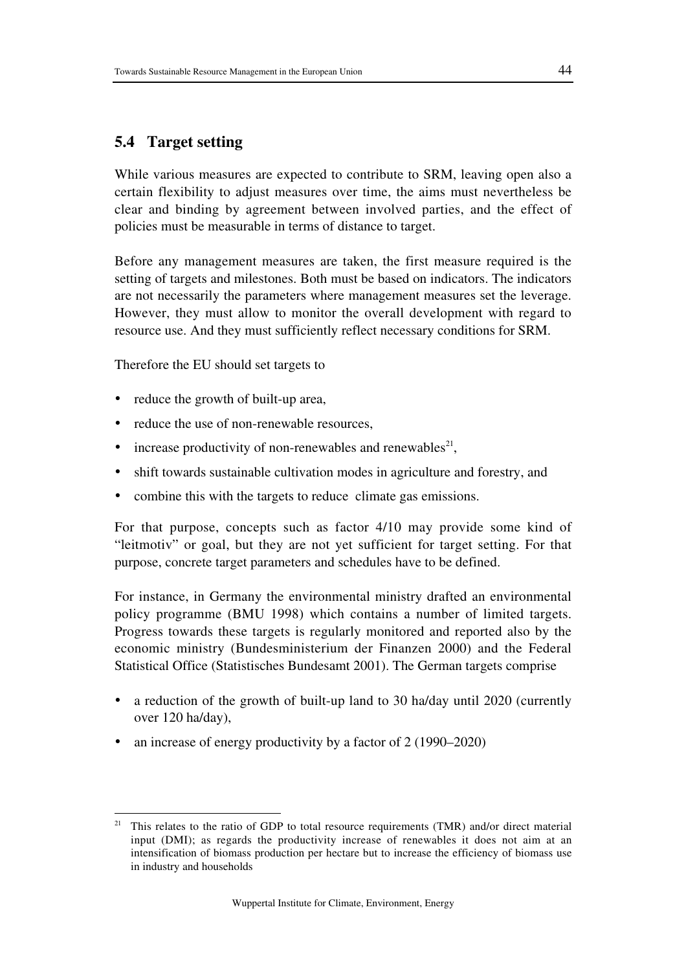# **5.4 Target setting**

While various measures are expected to contribute to SRM, leaving open also a certain flexibility to adjust measures over time, the aims must nevertheless be clear and binding by agreement between involved parties, and the effect of policies must be measurable in terms of distance to target.

Before any management measures are taken, the first measure required is the setting of targets and milestones. Both must be based on indicators. The indicators are not necessarily the parameters where management measures set the leverage. However, they must allow to monitor the overall development with regard to resource use. And they must sufficiently reflect necessary conditions for SRM.

Therefore the EU should set targets to

- reduce the growth of built-up area,
- reduce the use of non-renewable resources,
- increase productivity of non-renewables and renewables $^{21}$ ,
- shift towards sustainable cultivation modes in agriculture and forestry, and
- combine this with the targets to reduce climate gas emissions.

For that purpose, concepts such as factor 4/10 may provide some kind of "leitmotiv" or goal, but they are not yet sufficient for target setting. For that purpose, concrete target parameters and schedules have to be defined.

For instance, in Germany the environmental ministry drafted an environmental policy programme (BMU 1998) which contains a number of limited targets. Progress towards these targets is regularly monitored and reported also by the economic ministry (Bundesministerium der Finanzen 2000) and the Federal Statistical Office (Statistisches Bundesamt 2001). The German targets comprise

- a reduction of the growth of built-up land to 30 ha/day until 2020 (currently over 120 ha/day),
- an increase of energy productivity by a factor of 2 (1990–2020)

<sup>&</sup>lt;sup>21</sup> This relates to the ratio of GDP to total resource requirements (TMR) and/or direct material input (DMI); as regards the productivity increase of renewables it does not aim at an intensification of biomass production per hectare but to increase the efficiency of biomass use in industry and households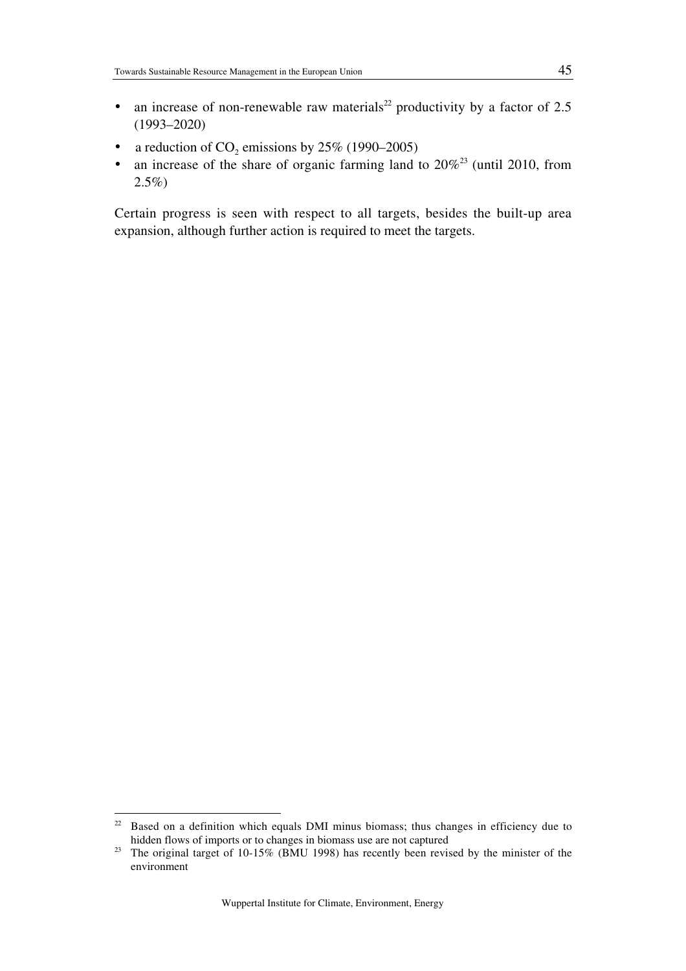- an increase of non-renewable raw materials<sup>22</sup> productivity by a factor of 2.5 (1993–2020)
- a reduction of  $CO<sub>2</sub>$  emissions by 25% (1990–2005)
- an increase of the share of organic farming land to  $20\%^{23}$  (until 2010, from 2.5%)

Certain progress is seen with respect to all targets, besides the built-up area expansion, although further action is required to meet the targets.

 $22$  Based on a definition which equals DMI minus biomass; thus changes in efficiency due to hidden flows of imports or to changes in biomass use are not captured

<sup>&</sup>lt;sup>23</sup> The original target of 10-15% (BMU 1998) has recently been revised by the minister of the environment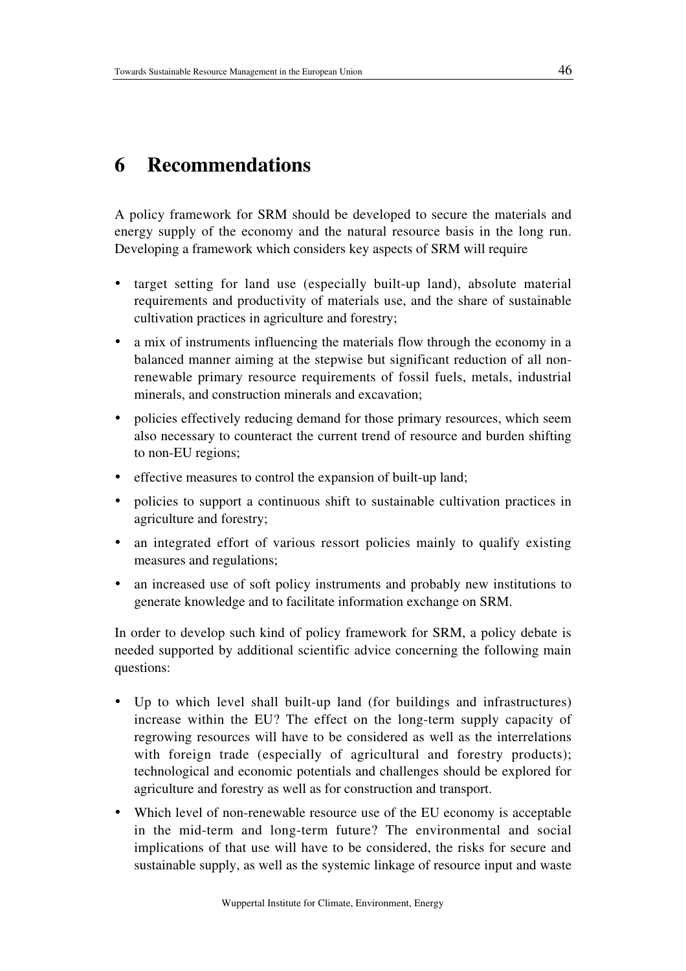# **6 Recommendations**

A policy framework for SRM should be developed to secure the materials and energy supply of the economy and the natural resource basis in the long run. Developing a framework which considers key aspects of SRM will require

- target setting for land use (especially built-up land), absolute material requirements and productivity of materials use, and the share of sustainable cultivation practices in agriculture and forestry;
- a mix of instruments influencing the materials flow through the economy in a balanced manner aiming at the stepwise but significant reduction of all nonrenewable primary resource requirements of fossil fuels, metals, industrial minerals, and construction minerals and excavation;
- policies effectively reducing demand for those primary resources, which seem also necessary to counteract the current trend of resource and burden shifting to non-EU regions;
- effective measures to control the expansion of built-up land;
- policies to support a continuous shift to sustainable cultivation practices in agriculture and forestry;
- an integrated effort of various ressort policies mainly to qualify existing measures and regulations;
- an increased use of soft policy instruments and probably new institutions to generate knowledge and to facilitate information exchange on SRM.

In order to develop such kind of policy framework for SRM, a policy debate is needed supported by additional scientific advice concerning the following main questions:

- Up to which level shall built-up land (for buildings and infrastructures) increase within the EU? The effect on the long-term supply capacity of regrowing resources will have to be considered as well as the interrelations with foreign trade (especially of agricultural and forestry products); technological and economic potentials and challenges should be explored for agriculture and forestry as well as for construction and transport.
- Which level of non-renewable resource use of the EU economy is acceptable in the mid-term and long-term future? The environmental and social implications of that use will have to be considered, the risks for secure and sustainable supply, as well as the systemic linkage of resource input and waste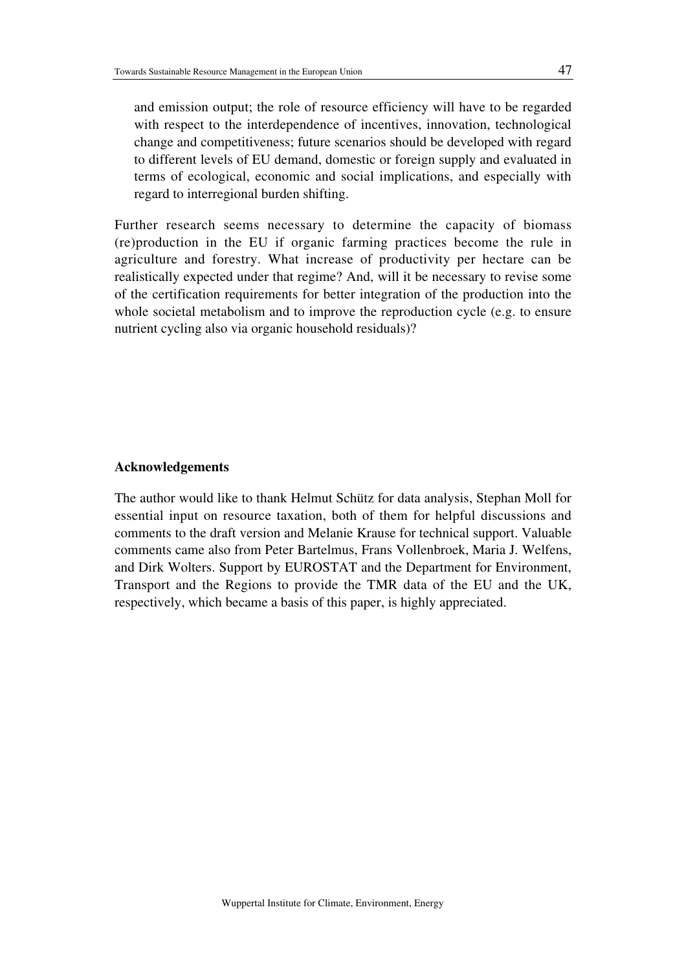and emission output; the role of resource efficiency will have to be regarded with respect to the interdependence of incentives, innovation, technological change and competitiveness; future scenarios should be developed with regard to different levels of EU demand, domestic or foreign supply and evaluated in terms of ecological, economic and social implications, and especially with regard to interregional burden shifting.

Further research seems necessary to determine the capacity of biomass (re)production in the EU if organic farming practices become the rule in agriculture and forestry. What increase of productivity per hectare can be realistically expected under that regime? And, will it be necessary to revise some of the certification requirements for better integration of the production into the whole societal metabolism and to improve the reproduction cycle (e.g. to ensure nutrient cycling also via organic household residuals)?

#### **Acknowledgements**

The author would like to thank Helmut Schütz for data analysis, Stephan Moll for essential input on resource taxation, both of them for helpful discussions and comments to the draft version and Melanie Krause for technical support. Valuable comments came also from Peter Bartelmus, Frans Vollenbroek, Maria J. Welfens, and Dirk Wolters. Support by EUROSTAT and the Department for Environment, Transport and the Regions to provide the TMR data of the EU and the UK, respectively, which became a basis of this paper, is highly appreciated.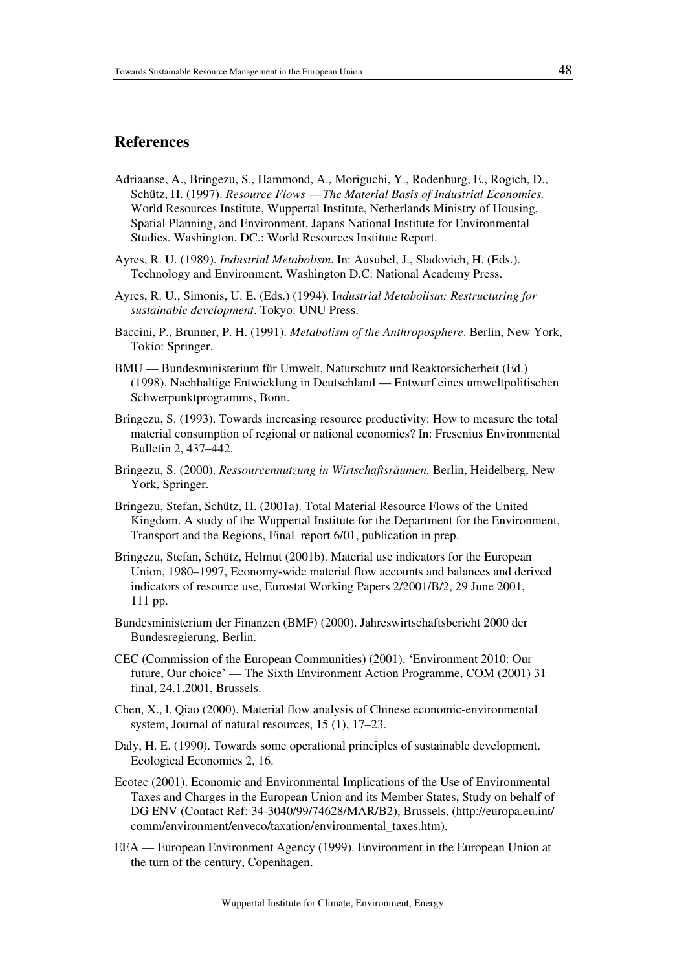#### **References**

- Adriaanse, A., Bringezu, S., Hammond, A., Moriguchi, Y., Rodenburg, E., Rogich, D., Schütz, H. (1997). *Resource Flows — The Material Basis of Industrial Economies.* World Resources Institute, Wuppertal Institute, Netherlands Ministry of Housing, Spatial Planning, and Environment, Japans National Institute for Environmental Studies. Washington, DC.: World Resources Institute Report.
- Ayres, R. U. (1989). *Industrial Metabolism*. In: Ausubel, J., Sladovich, H. (Eds.). Technology and Environment. Washington D.C: National Academy Press.
- Ayres, R. U., Simonis, U. E. (Eds.) (1994). I*ndustrial Metabolism: Restructuring for sustainable development*. Tokyo: UNU Press.
- Baccini, P., Brunner, P. H. (1991). *Metabolism of the Anthroposphere*. Berlin, New York, Tokio: Springer.
- BMU Bundesministerium für Umwelt, Naturschutz und Reaktorsicherheit (Ed.) (1998). Nachhaltige Entwicklung in Deutschland — Entwurf eines umweltpolitischen Schwerpunktprogramms, Bonn.
- Bringezu, S. (1993). Towards increasing resource productivity: How to measure the total material consumption of regional or national economies? In: Fresenius Environmental Bulletin 2, 437–442.
- Bringezu, S. (2000). *Ressourcennutzung in Wirtschaftsräumen.* Berlin, Heidelberg, New York, Springer.
- Bringezu, Stefan, Schütz, H. (2001a). Total Material Resource Flows of the United Kingdom. A study of the Wuppertal Institute for the Department for the Environment, Transport and the Regions, Final report 6/01, publication in prep.
- Bringezu, Stefan, Schütz, Helmut (2001b). Material use indicators for the European Union, 1980–1997, Economy-wide material flow accounts and balances and derived indicators of resource use, Eurostat Working Papers 2/2001/B/2, 29 June 2001, 111 pp.
- Bundesministerium der Finanzen (BMF) (2000). Jahreswirtschaftsbericht 2000 der Bundesregierung, Berlin.
- CEC (Commission of the European Communities) (2001). 'Environment 2010: Our future, Our choice' — The Sixth Environment Action Programme, COM (2001) 31 final, 24.1.2001, Brussels.
- Chen, X., l. Qiao (2000). Material flow analysis of Chinese economic-environmental system, Journal of natural resources, 15 (1), 17–23.
- Daly, H. E. (1990). Towards some operational principles of sustainable development. Ecological Economics 2, 16.
- Ecotec (2001). Economic and Environmental Implications of the Use of Environmental Taxes and Charges in the European Union and its Member States, Study on behalf of DG ENV (Contact Ref: 34-3040/99/74628/MAR/B2), Brussels, (http://europa.eu.int/ comm/environment/enveco/taxation/environmental\_taxes.htm).
- EEA European Environment Agency (1999). Environment in the European Union at the turn of the century, Copenhagen.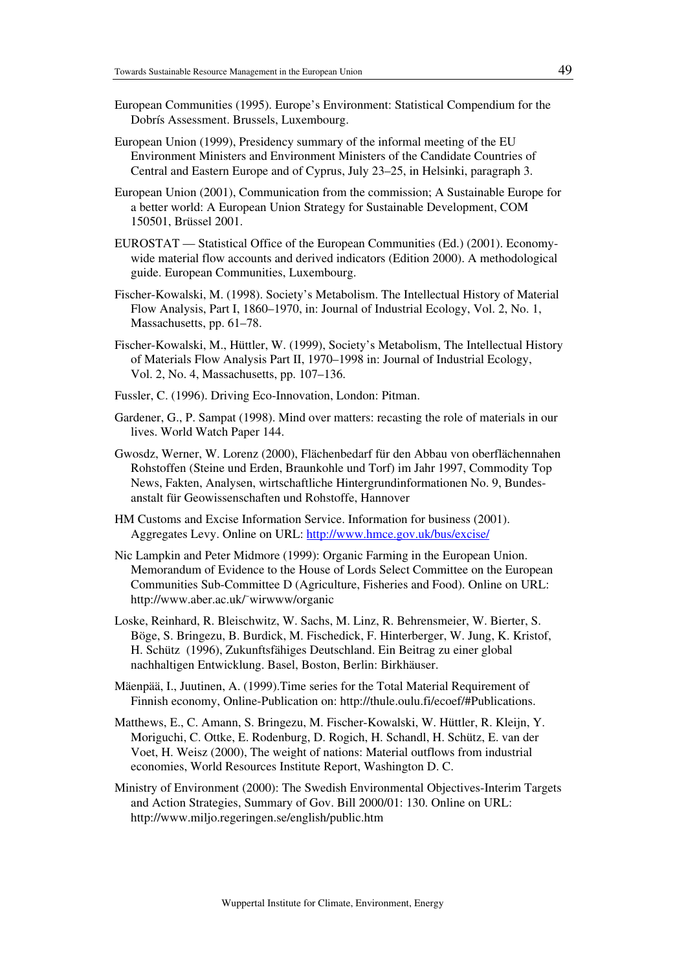- European Communities (1995). Europe's Environment: Statistical Compendium for the Dobrís Assessment. Brussels, Luxembourg.
- European Union (1999), Presidency summary of the informal meeting of the EU Environment Ministers and Environment Ministers of the Candidate Countries of Central and Eastern Europe and of Cyprus, July 23–25, in Helsinki, paragraph 3.
- European Union (2001), Communication from the commission; A Sustainable Europe for a better world: A European Union Strategy for Sustainable Development, COM 150501, Brüssel 2001.
- EUROSTAT Statistical Office of the European Communities (Ed.) (2001). Economywide material flow accounts and derived indicators (Edition 2000). A methodological guide. European Communities, Luxembourg.
- Fischer-Kowalski, M. (1998). Society's Metabolism. The Intellectual History of Material Flow Analysis, Part I, 1860–1970, in: Journal of Industrial Ecology, Vol. 2, No. 1, Massachusetts, pp. 61–78.
- Fischer-Kowalski, M., Hüttler, W. (1999), Society's Metabolism, The Intellectual History of Materials Flow Analysis Part II, 1970–1998 in: Journal of Industrial Ecology, Vol. 2, No. 4, Massachusetts, pp. 107–136.
- Fussler, C. (1996). Driving Eco-Innovation, London: Pitman.
- Gardener, G., P. Sampat (1998). Mind over matters: recasting the role of materials in our lives. World Watch Paper 144.
- Gwosdz, Werner, W. Lorenz (2000), Flächenbedarf für den Abbau von oberflächennahen Rohstoffen (Steine und Erden, Braunkohle und Torf) im Jahr 1997, Commodity Top News, Fakten, Analysen, wirtschaftliche Hintergrundinformationen No. 9, Bundesanstalt für Geowissenschaften und Rohstoffe, Hannover
- HM Customs and Excise Information Service. Information for business (2001). Aggregates Levy. Online on URL: http://www.hmce.gov.uk/bus/excise/
- Nic Lampkin and Peter Midmore (1999): Organic Farming in the European Union. Memorandum of Evidence to the House of Lords Select Committee on the European Communities Sub-Committee D (Agriculture, Fisheries and Food). Online on URL: http://www.aber.ac.uk/<sup>~</sup> wirwww/organic
- Loske, Reinhard, R. Bleischwitz, W. Sachs, M. Linz, R. Behrensmeier, W. Bierter, S. Böge, S. Bringezu, B. Burdick, M. Fischedick, F. Hinterberger, W. Jung, K. Kristof, H. Schütz (1996), Zukunftsfähiges Deutschland. Ein Beitrag zu einer global nachhaltigen Entwicklung. Basel, Boston, Berlin: Birkhäuser.
- Mäenpää, I., Juutinen, A. (1999).Time series for the Total Material Requirement of Finnish economy, Online-Publication on: http://thule.oulu.fi/ecoef/#Publications.
- Matthews, E., C. Amann, S. Bringezu, M. Fischer-Kowalski, W. Hüttler, R. Kleijn, Y. Moriguchi, C. Ottke, E. Rodenburg, D. Rogich, H. Schandl, H. Schütz, E. van der Voet, H. Weisz (2000), The weight of nations: Material outflows from industrial economies, World Resources Institute Report, Washington D. C.
- Ministry of Environment (2000): The Swedish Environmental Objectives-Interim Targets and Action Strategies, Summary of Gov. Bill 2000/01: 130. Online on URL: http://www.miljo.regeringen.se/english/public.htm